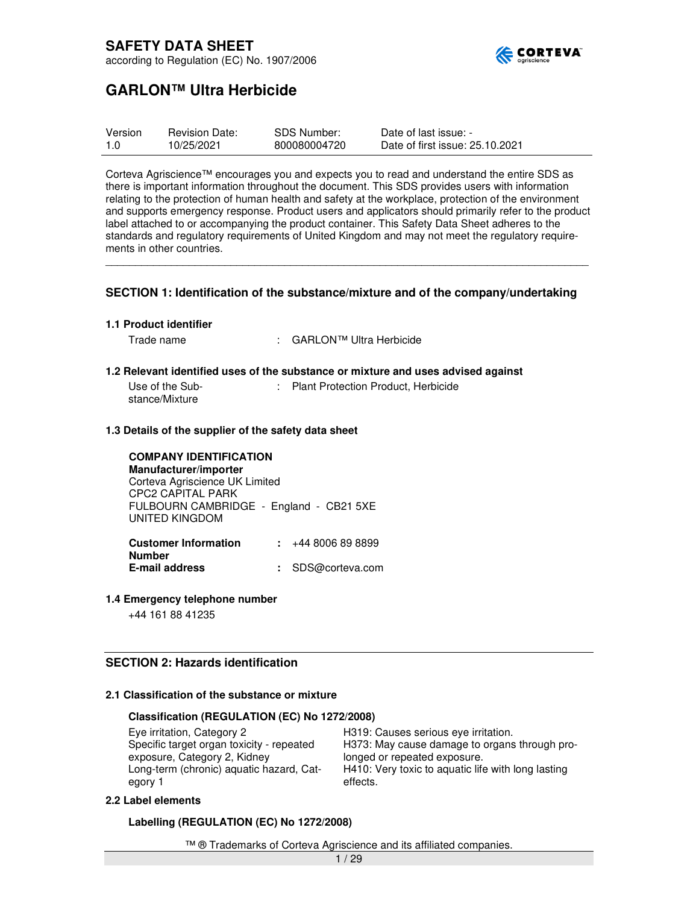

# **GARLON™ Ultra Herbicide**

| Version | <b>Revision Date:</b> | SDS Number:  | Date of last issue: -           |
|---------|-----------------------|--------------|---------------------------------|
|         | 10/25/2021            | 800080004720 | Date of first issue: 25.10.2021 |

Corteva Agriscience™ encourages you and expects you to read and understand the entire SDS as there is important information throughout the document. This SDS provides users with information relating to the protection of human health and safety at the workplace, protection of the environment and supports emergency response. Product users and applicators should primarily refer to the product label attached to or accompanying the product container. This Safety Data Sheet adheres to the standards and regulatory requirements of United Kingdom and may not meet the regulatory requirements in other countries.

\_\_\_\_\_\_\_\_\_\_\_\_\_\_\_\_\_\_\_\_\_\_\_\_\_\_\_\_\_\_\_\_\_\_\_\_\_\_\_\_\_\_\_\_\_\_\_\_\_\_\_\_\_\_\_\_\_\_\_\_\_\_\_\_\_\_\_\_\_\_\_\_\_\_\_\_\_\_\_\_\_

### **SECTION 1: Identification of the substance/mixture and of the company/undertaking**

#### **1.1 Product identifier**

Trade name : GARLON™ Ultra Herbicide

#### **1.2 Relevant identified uses of the substance or mixture and uses advised against**

| Use of the Sub- | : Plant Protection Product, Herbicide |  |
|-----------------|---------------------------------------|--|
| stance/Mixture  |                                       |  |

### **1.3 Details of the supplier of the safety data sheet**

**COMPANY IDENTIFICATION Manufacturer/importer**  Corteva Agriscience UK Limited CPC2 CAPITAL PARK FULBOURN CAMBRIDGE - England - CB21 5XE UNITED KINGDOM

**Customer Information Number :** +44 8006 89 8899 **E-mail address :** SDS@corteva.com

#### **1.4 Emergency telephone number**

+44 161 88 41235

### **SECTION 2: Hazards identification**

### **2.1 Classification of the substance or mixture**

### **Classification (REGULATION (EC) No 1272/2008)**

Eye irritation, Category 2 **H319:** Causes serious eye irritation. Specific target organ toxicity - repeated exposure, Category 2, Kidney Long-term (chronic) aquatic hazard, Category 1

H373: May cause damage to organs through prolonged or repeated exposure. H410: Very toxic to aquatic life with long lasting effects.

#### **2.2 Label elements**

**Labelling (REGULATION (EC) No 1272/2008)** 

™ ® Trademarks of Corteva Agriscience and its affiliated companies.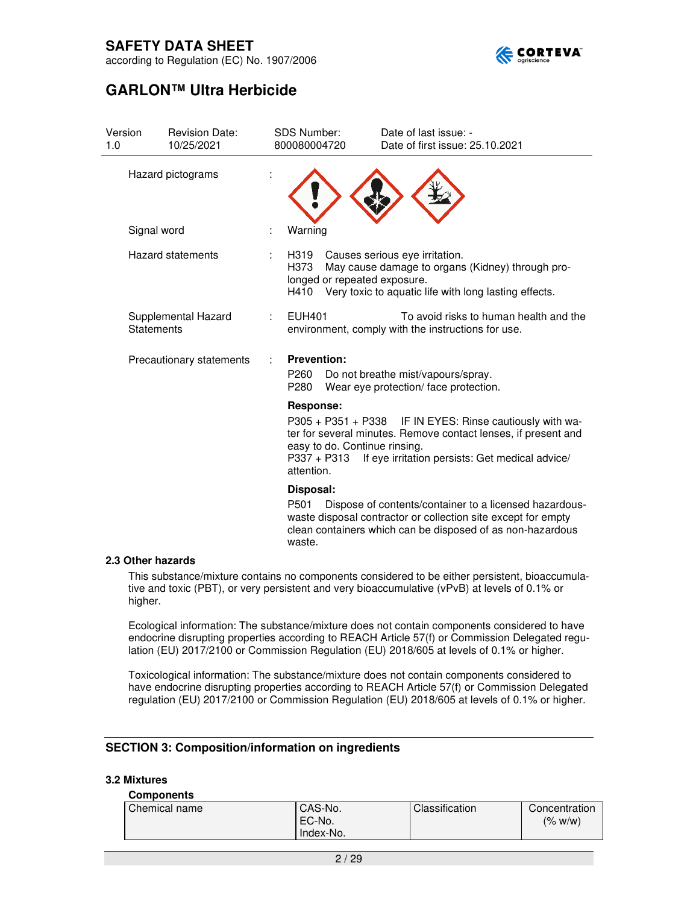

according to Regulation (EC) No. 1907/2006

# **GARLON™ Ultra Herbicide**

| Version<br>1.0    | <b>Revision Date:</b><br>10/25/2021      | <b>SDS Number:</b><br>800080004720             | Date of last issue: -<br>Date of first issue: 25.10.2021                                                                                                                                                       |
|-------------------|------------------------------------------|------------------------------------------------|----------------------------------------------------------------------------------------------------------------------------------------------------------------------------------------------------------------|
| Hazard pictograms |                                          |                                                |                                                                                                                                                                                                                |
|                   | Signal word                              | Warning                                        |                                                                                                                                                                                                                |
|                   | <b>Hazard statements</b>                 | H319<br>÷<br>H373<br>H410                      | Causes serious eye irritation.<br>May cause damage to organs (Kidney) through pro-<br>longed or repeated exposure.<br>Very toxic to aquatic life with long lasting effects.                                    |
|                   | Supplemental Hazard<br><b>Statements</b> | <b>EUH401</b><br>÷                             | To avoid risks to human health and the<br>environment, comply with the instructions for use.                                                                                                                   |
|                   | Precautionary statements                 | <b>Prevention:</b><br>P <sub>260</sub><br>P280 | Do not breathe mist/vapours/spray.<br>Wear eye protection/face protection.                                                                                                                                     |
|                   |                                          | Response:<br>P337 + P313<br>attention.         | P305 + P351 + P338 IF IN EYES: Rinse cautiously with wa-<br>ter for several minutes. Remove contact lenses, if present and<br>easy to do. Continue rinsing.<br>If eye irritation persists: Get medical advice/ |
|                   |                                          | Disposal:<br>P501<br>waste.                    | Dispose of contents/container to a licensed hazardous-<br>waste disposal contractor or collection site except for empty<br>clean containers which can be disposed of as non-hazardous                          |

### **2.3 Other hazards**

This substance/mixture contains no components considered to be either persistent, bioaccumulative and toxic (PBT), or very persistent and very bioaccumulative (vPvB) at levels of 0.1% or higher.

Ecological information: The substance/mixture does not contain components considered to have endocrine disrupting properties according to REACH Article 57(f) or Commission Delegated regulation (EU) 2017/2100 or Commission Regulation (EU) 2018/605 at levels of 0.1% or higher.

Toxicological information: The substance/mixture does not contain components considered to have endocrine disrupting properties according to REACH Article 57(f) or Commission Delegated regulation (EU) 2017/2100 or Commission Regulation (EU) 2018/605 at levels of 0.1% or higher.

### **SECTION 3: Composition/information on ingredients**

### **3.2 Mixtures**

#### **Components**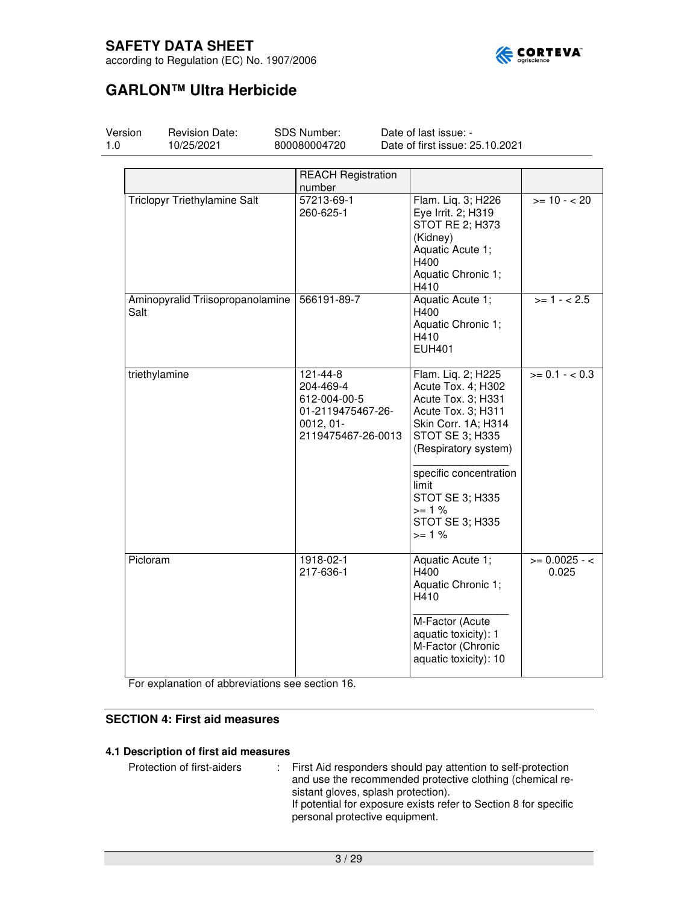

according to Regulation (EC) No. 1907/2006

# **GARLON™ Ultra Herbicide**

| Version<br>1.0 | <b>Revision Date:</b><br>10/25/2021 | SDS Number:<br>800080004720                                                                      | Date of last issue: -<br>Date of first issue: 25.10.2021                                                                                                                                                                                              |                          |
|----------------|-------------------------------------|--------------------------------------------------------------------------------------------------|-------------------------------------------------------------------------------------------------------------------------------------------------------------------------------------------------------------------------------------------------------|--------------------------|
|                |                                     | <b>REACH Registration</b><br>number                                                              |                                                                                                                                                                                                                                                       |                          |
|                | <b>Triclopyr Triethylamine Salt</b> | 57213-69-1<br>260-625-1                                                                          | Flam. Liq. 3; H226<br>Eye Irrit. 2; H319<br>STOT RE 2; H373<br>(Kidney)<br>Aquatic Acute 1;<br>H400<br>Aquatic Chronic 1;<br>H410                                                                                                                     | $>= 10 - 20$             |
| Salt           | Aminopyralid Triisopropanolamine    | 566191-89-7                                                                                      | Aquatic Acute 1;<br>H400<br>Aquatic Chronic 1;<br>H410<br>EUH401                                                                                                                                                                                      | $>= 1 - 2.5$             |
|                | triethylamine                       | 121-44-8<br>204-469-4<br>612-004-00-5<br>01-2119475467-26-<br>$0012, 01 -$<br>2119475467-26-0013 | Flam. Liq. 2; H225<br>Acute Tox. 4; H302<br>Acute Tox. 3; H331<br>Acute Tox. 3; H311<br>Skin Corr. 1A; H314<br>STOT SE 3; H335<br>(Respiratory system)<br>specific concentration<br>limit<br>STOT SE 3; H335<br>$>= 1%$<br>STOT SE 3; H335<br>$>= 1%$ | $>= 0.1 - 0.3$           |
|                | Picloram                            | 1918-02-1<br>217-636-1                                                                           | Aquatic Acute 1;<br>H400<br>Aquatic Chronic 1;<br>H410<br>M-Factor (Acute<br>aquatic toxicity): 1<br>M-Factor (Chronic<br>aquatic toxicity): 10                                                                                                       | $>= 0.0025 - c$<br>0.025 |

For explanation of abbreviations see section 16.

### **SECTION 4: First aid measures**

### **4.1 Description of first aid measures**

Protection of first-aiders : First Aid responders should pay attention to self-protection and use the recommended protective clothing (chemical resistant gloves, splash protection). If potential for exposure exists refer to Section 8 for specific personal protective equipment.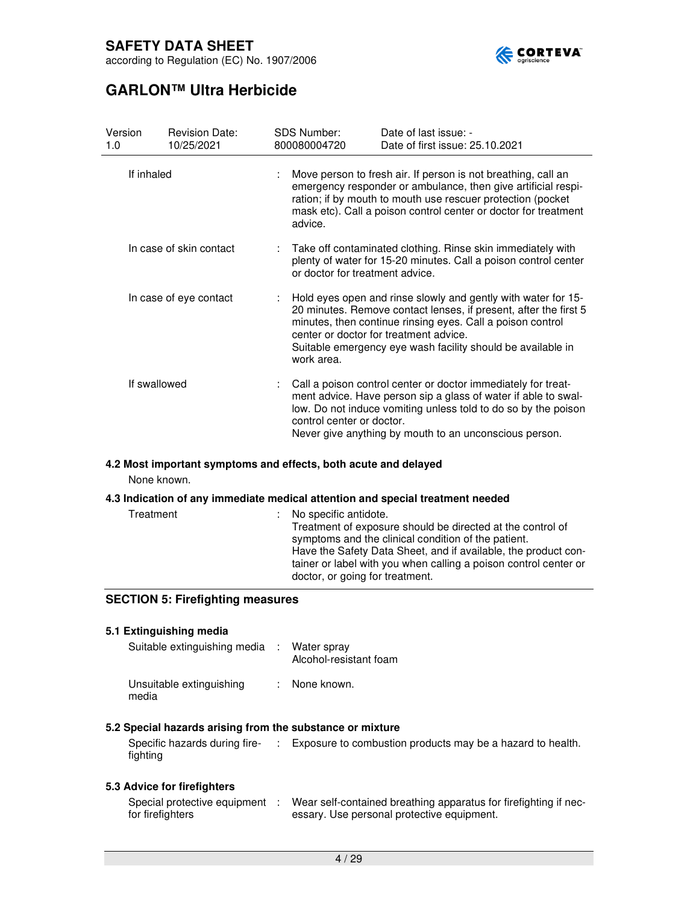

# **GARLON™ Ultra Herbicide**

| Version<br>1.0 |              | <b>Revision Date:</b><br>10/25/2021                                                                                                                                                                                                                                         | <b>SDS Number:</b><br>800080004720 | Date of last issue: -<br>Date of first issue: 25.10.2021                                                                                                                                                                                                                                                 |
|----------------|--------------|-----------------------------------------------------------------------------------------------------------------------------------------------------------------------------------------------------------------------------------------------------------------------------|------------------------------------|----------------------------------------------------------------------------------------------------------------------------------------------------------------------------------------------------------------------------------------------------------------------------------------------------------|
| If inhaled     |              | Move person to fresh air. If person is not breathing, call an<br>emergency responder or ambulance, then give artificial respi-<br>ration; if by mouth to mouth use rescuer protection (pocket<br>mask etc). Call a poison control center or doctor for treatment<br>advice. |                                    |                                                                                                                                                                                                                                                                                                          |
|                |              | In case of skin contact                                                                                                                                                                                                                                                     | or doctor for treatment advice.    | Take off contaminated clothing. Rinse skin immediately with<br>plenty of water for 15-20 minutes. Call a poison control center                                                                                                                                                                           |
|                |              | In case of eye contact                                                                                                                                                                                                                                                      | work area.                         | Hold eyes open and rinse slowly and gently with water for 15-<br>20 minutes. Remove contact lenses, if present, after the first 5<br>minutes, then continue rinsing eyes. Call a poison control<br>center or doctor for treatment advice.<br>Suitable emergency eye wash facility should be available in |
|                | If swallowed |                                                                                                                                                                                                                                                                             | control center or doctor.          | Call a poison control center or doctor immediately for treat-<br>ment advice. Have person sip a glass of water if able to swal-<br>low. Do not induce vomiting unless told to do so by the poison<br>Never give anything by mouth to an unconscious person.                                              |

### **4.2 Most important symptoms and effects, both acute and delayed**

None known.

### **4.3 Indication of any immediate medical attention and special treatment needed**

| Treatment | : No specific antidote.<br>Treatment of exposure should be directed at the control of<br>symptoms and the clinical condition of the patient.<br>Have the Safety Data Sheet, and if available, the product con-<br>tainer or label with you when calling a poison control center or<br>doctor, or going for treatment. |
|-----------|-----------------------------------------------------------------------------------------------------------------------------------------------------------------------------------------------------------------------------------------------------------------------------------------------------------------------|
|-----------|-----------------------------------------------------------------------------------------------------------------------------------------------------------------------------------------------------------------------------------------------------------------------------------------------------------------------|

### **SECTION 5: Firefighting measures**

### **5.1 Extinguishing media**  Suitable extinguishing media : Water spray Alcohol-resistant foam Unsuitable extinguishing : None known. media

### **5.2 Special hazards arising from the substance or mixture**

Specific hazards during fire-: Exposure to combustion products may be a hazard to health. fighting

### **5.3 Advice for firefighters**

| Special protective equipment | Wear self-contained breathing apparatus for firefighting if nec- |
|------------------------------|------------------------------------------------------------------|
| for firefighters             | essary. Use personal protective equipment.                       |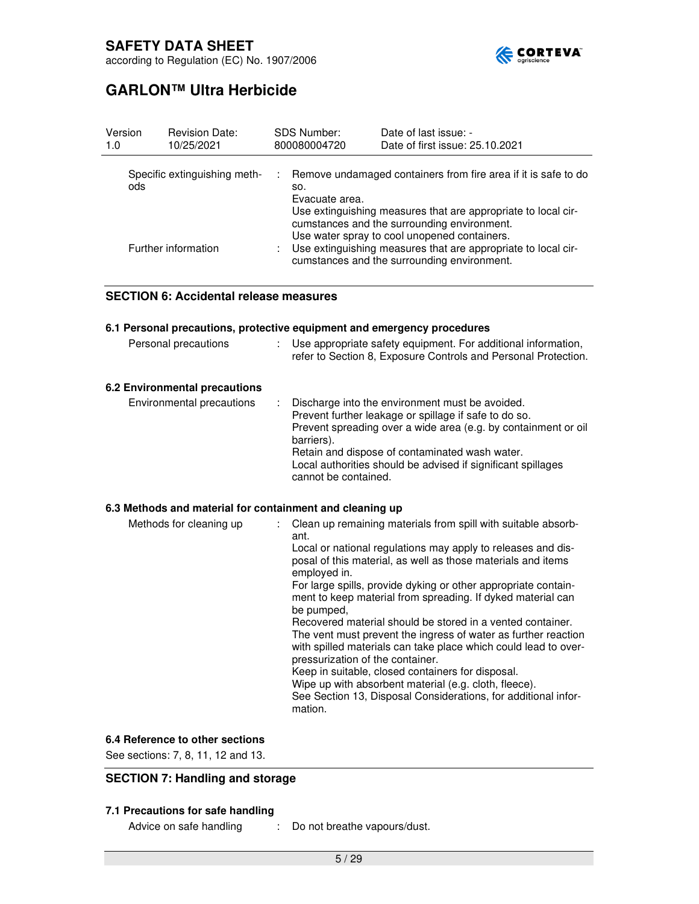

# **GARLON™ Ultra Herbicide**

| Version<br><b>Revision Date:</b><br><b>SDS Number:</b><br>Date of last issue: -<br>Date of first issue: 25.10.2021<br>800080004720<br>10/25/2021<br>1.0                                                                                                                                                                                                                                                                               |  |
|---------------------------------------------------------------------------------------------------------------------------------------------------------------------------------------------------------------------------------------------------------------------------------------------------------------------------------------------------------------------------------------------------------------------------------------|--|
| Remove undamaged containers from fire area if it is safe to do<br>Specific extinguishing meth-<br>ods<br>SO.<br>Evacuate area.<br>Use extinguishing measures that are appropriate to local cir-<br>cumstances and the surrounding environment.<br>Use water spray to cool unopened containers.<br>Use extinguishing measures that are appropriate to local cir-<br>Further information<br>cumstances and the surrounding environment. |  |

### **SECTION 6: Accidental release measures**

|                                                          | 6.1 Personal precautions, protective equipment and emergency procedures                                                                                                                                                                                                                                                                                                                                                                                                                                                                                                                                 |
|----------------------------------------------------------|---------------------------------------------------------------------------------------------------------------------------------------------------------------------------------------------------------------------------------------------------------------------------------------------------------------------------------------------------------------------------------------------------------------------------------------------------------------------------------------------------------------------------------------------------------------------------------------------------------|
| Personal precautions                                     | Use appropriate safety equipment. For additional information,<br>refer to Section 8, Exposure Controls and Personal Protection.                                                                                                                                                                                                                                                                                                                                                                                                                                                                         |
| 6.2 Environmental precautions                            |                                                                                                                                                                                                                                                                                                                                                                                                                                                                                                                                                                                                         |
| Environmental precautions                                | Discharge into the environment must be avoided.<br>Prevent further leakage or spillage if safe to do so.<br>Prevent spreading over a wide area (e.g. by containment or oil<br>barriers).<br>Retain and dispose of contaminated wash water.<br>Local authorities should be advised if significant spillages<br>cannot be contained.                                                                                                                                                                                                                                                                      |
| 6.3 Methods and material for containment and cleaning up |                                                                                                                                                                                                                                                                                                                                                                                                                                                                                                                                                                                                         |
| Methods for cleaning up                                  | Clean up remaining materials from spill with suitable absorb-<br>ant.<br>Local or national regulations may apply to releases and dis-<br>posal of this material, as well as those materials and items<br>employed in.<br>For large spills, provide dyking or other appropriate contain-<br>ment to keep material from spreading. If dyked material can<br>be pumped,<br>Recovered material should be stored in a vented container.<br>The vent must prevent the ingress of water as further reaction<br>with spilled materials can take place which could lead to over-<br>processive and the container |

pressurization of the container. Keep in suitable, closed containers for disposal. Wipe up with absorbent material (e.g. cloth, fleece). See Section 13, Disposal Considerations, for additional information.

### **6.4 Reference to other sections**

See sections: 7, 8, 11, 12 and 13.

### **SECTION 7: Handling and storage**

### **7.1 Precautions for safe handling**

- Advice on safe handling : Do not breathe vapours/dust.
	- -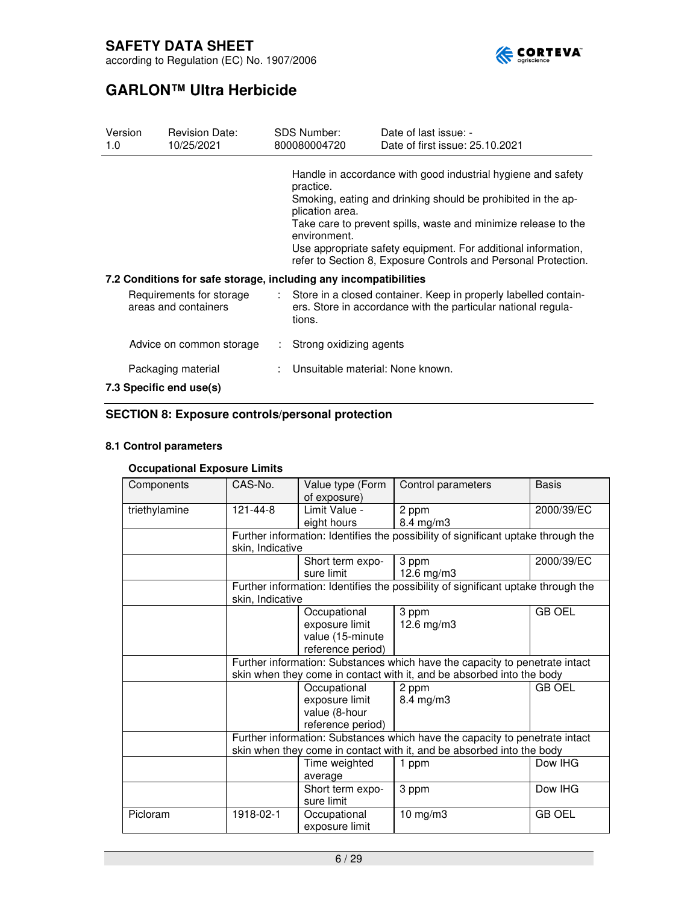

# **GARLON™ Ultra Herbicide**

| 1.0                                              | Version | <b>Revision Date:</b><br>10/25/2021                              |                                                                                                                                    | SDS Number:<br>800080004720                                                                                                                                                                                                                                                                                                                                                       | Date of last issue: -<br>Date of first issue: 25.10.2021 |  |
|--------------------------------------------------|---------|------------------------------------------------------------------|------------------------------------------------------------------------------------------------------------------------------------|-----------------------------------------------------------------------------------------------------------------------------------------------------------------------------------------------------------------------------------------------------------------------------------------------------------------------------------------------------------------------------------|----------------------------------------------------------|--|
|                                                  |         |                                                                  |                                                                                                                                    | Handle in accordance with good industrial hygiene and safety<br>practice.<br>Smoking, eating and drinking should be prohibited in the ap-<br>plication area.<br>Take care to prevent spills, waste and minimize release to the<br>environment.<br>Use appropriate safety equipment. For additional information,<br>refer to Section 8, Exposure Controls and Personal Protection. |                                                          |  |
|                                                  |         | 7.2 Conditions for safe storage, including any incompatibilities |                                                                                                                                    |                                                                                                                                                                                                                                                                                                                                                                                   |                                                          |  |
| Requirements for storage<br>areas and containers |         | tions.                                                           | : Store in a closed container. Keep in properly labelled contain-<br>ers. Store in accordance with the particular national regula- |                                                                                                                                                                                                                                                                                                                                                                                   |                                                          |  |
|                                                  |         | Advice on common storage                                         |                                                                                                                                    | Strong oxidizing agents                                                                                                                                                                                                                                                                                                                                                           |                                                          |  |
| Packaging material<br>7.3 Specific end use(s)    |         |                                                                  |                                                                                                                                    | Unsuitable material: None known.                                                                                                                                                                                                                                                                                                                                                  |                                                          |  |

### **SECTION 8: Exposure controls/personal protection**

### **8.1 Control parameters**

### **Occupational Exposure Limits**

| Components    | CAS-No.                                                                                                                                              | Value type (Form<br>of exposure)                                        | Control parameters                                                                                                                                   | <b>Basis</b>  |  |
|---------------|------------------------------------------------------------------------------------------------------------------------------------------------------|-------------------------------------------------------------------------|------------------------------------------------------------------------------------------------------------------------------------------------------|---------------|--|
| triethylamine | 121-44-8                                                                                                                                             | Limit Value -<br>eight hours                                            | 2 ppm<br>$8.4 \text{ mg/m}$ 3                                                                                                                        | 2000/39/EC    |  |
|               | skin, Indicative                                                                                                                                     |                                                                         | Further information: Identifies the possibility of significant uptake through the                                                                    |               |  |
|               |                                                                                                                                                      | Short term expo-<br>sure limit                                          | 3 ppm<br>12.6 mg/m $3$                                                                                                                               | 2000/39/EC    |  |
|               | skin, Indicative                                                                                                                                     |                                                                         | Further information: Identifies the possibility of significant uptake through the                                                                    |               |  |
|               |                                                                                                                                                      | Occupational<br>exposure limit<br>value (15-minute<br>reference period) | 3 ppm<br>12.6 mg/m3                                                                                                                                  | <b>GB OEL</b> |  |
|               |                                                                                                                                                      |                                                                         | Further information: Substances which have the capacity to penetrate intact<br>skin when they come in contact with it, and be absorbed into the body |               |  |
|               |                                                                                                                                                      | Occupational<br>exposure limit<br>value (8-hour<br>reference period)    | 2 ppm<br>$8.4$ mg/m $3$                                                                                                                              | <b>GB OEL</b> |  |
|               | Further information: Substances which have the capacity to penetrate intact<br>skin when they come in contact with it, and be absorbed into the body |                                                                         |                                                                                                                                                      |               |  |
|               |                                                                                                                                                      | Time weighted<br>average                                                | 1 ppm                                                                                                                                                | Dow IHG       |  |
|               |                                                                                                                                                      | Short term expo-<br>sure limit                                          | 3 ppm                                                                                                                                                | Dow IHG       |  |
| Picloram      | 1918-02-1                                                                                                                                            | Occupational<br>exposure limit                                          | 10 mg/m3                                                                                                                                             | <b>GB OEL</b> |  |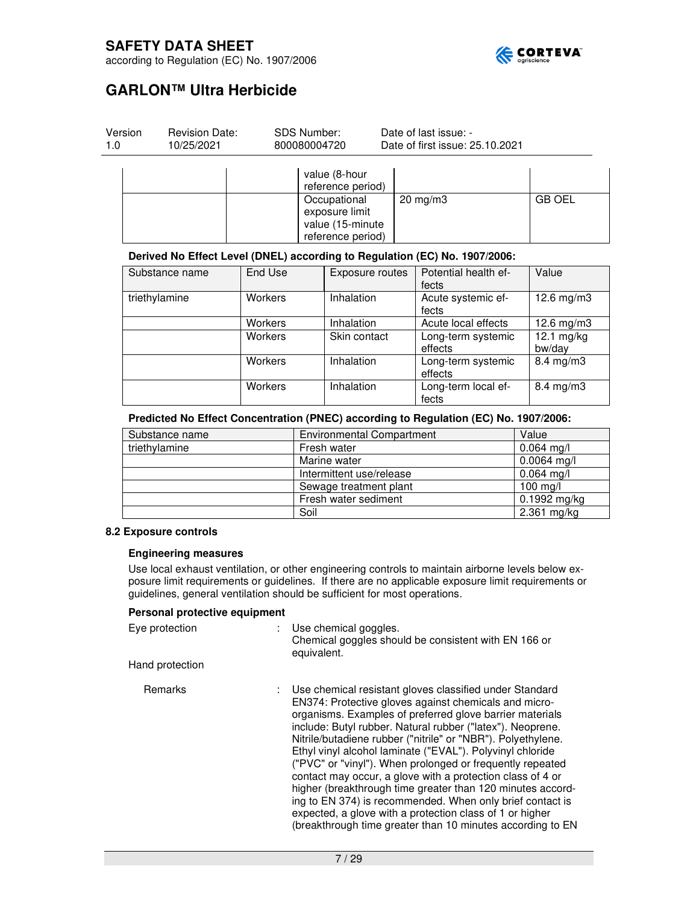

8.4 mg/m3

according to Regulation (EC) No. 1907/2006

# **GARLON™ Ultra Herbicide**

| Version<br>1.0 |                          | <b>Revision Date:</b><br>10/25/2021 | <b>SDS Number:</b><br>800080004720 |                                                                         |                             | Date of last issue: -<br>Date of first issue: 25.10.2021                   |                        |
|----------------|--------------------------|-------------------------------------|------------------------------------|-------------------------------------------------------------------------|-----------------------------|----------------------------------------------------------------------------|------------------------|
|                |                          |                                     |                                    | value (8-hour<br>reference period)                                      |                             |                                                                            |                        |
|                |                          |                                     |                                    | Occupational<br>exposure limit<br>value (15-minute<br>reference period) | $20$ mg/m $3$               |                                                                            | <b>GB OEL</b>          |
|                |                          |                                     |                                    |                                                                         |                             | Derived No Effect Level (DNEL) according to Regulation (EC) No. 1907/2006: |                        |
|                |                          | Substance name                      | End Use                            | Exposure routes                                                         |                             | Potential health ef-<br>fects                                              | Value                  |
|                | triethylamine<br>Workers |                                     | Inhalation                         |                                                                         | Acute systemic ef-<br>fects | $12.6$ mg/m $3$                                                            |                        |
|                | Workers                  |                                     | Inhalation                         |                                                                         | Acute local effects         | $12.6$ mg/m $3$                                                            |                        |
|                |                          |                                     | Workers                            | Skin contact                                                            |                             | Long-term systemic<br>effects                                              | $12.1$ mg/kg<br>bw/day |
|                | Workers                  |                                     | Inhalation                         |                                                                         | Long-term systemic          | $8.4 \text{ mg/m}$ 3                                                       |                        |

### **Predicted No Effect Concentration (PNEC) according to Regulation (EC) No. 1907/2006:**

| Substance name | <b>Environmental Compartment</b> | Value          |
|----------------|----------------------------------|----------------|
| triethylamine  | Fresh water                      | $0.064$ mg/l   |
|                | Marine water                     | $0.0064$ mg/l  |
|                | Intermittent use/release         | $0.064$ mg/l   |
|                | Sewage treatment plant           | $100$ mg/l     |
|                | Fresh water sediment             | $0.1992$ mg/kg |
|                | Soil                             | $2.361$ mg/kg  |

Workers Inhalation | Long-term local ef-

effects

fects

### **8.2 Exposure controls**

#### **Engineering measures**

Use local exhaust ventilation, or other engineering controls to maintain airborne levels below exposure limit requirements or guidelines. If there are no applicable exposure limit requirements or guidelines, general ventilation should be sufficient for most operations.

### **Personal protective equipment**

| Eye protection  | Use chemical goggles.<br>Chemical goggles should be consistent with EN 166 or<br>equivalent.                                                                                                                                                                                                                                                                                                                                                                                                                                                                                                                                                                                                                                                              |
|-----------------|-----------------------------------------------------------------------------------------------------------------------------------------------------------------------------------------------------------------------------------------------------------------------------------------------------------------------------------------------------------------------------------------------------------------------------------------------------------------------------------------------------------------------------------------------------------------------------------------------------------------------------------------------------------------------------------------------------------------------------------------------------------|
| Hand protection |                                                                                                                                                                                                                                                                                                                                                                                                                                                                                                                                                                                                                                                                                                                                                           |
| Remarks         | : Use chemical resistant gloves classified under Standard<br>EN374: Protective gloves against chemicals and micro-<br>organisms. Examples of preferred glove barrier materials<br>include: Butyl rubber. Natural rubber ("latex"). Neoprene.<br>Nitrile/butadiene rubber ("nitrile" or "NBR"). Polyethylene.<br>Ethyl vinyl alcohol laminate ("EVAL"). Polyvinyl chloride<br>("PVC" or "vinyl"). When prolonged or frequently repeated<br>contact may occur, a glove with a protection class of 4 or<br>higher (breakthrough time greater than 120 minutes accord-<br>ing to EN 374) is recommended. When only brief contact is<br>expected, a glove with a protection class of 1 or higher<br>(breakthrough time greater than 10 minutes according to EN |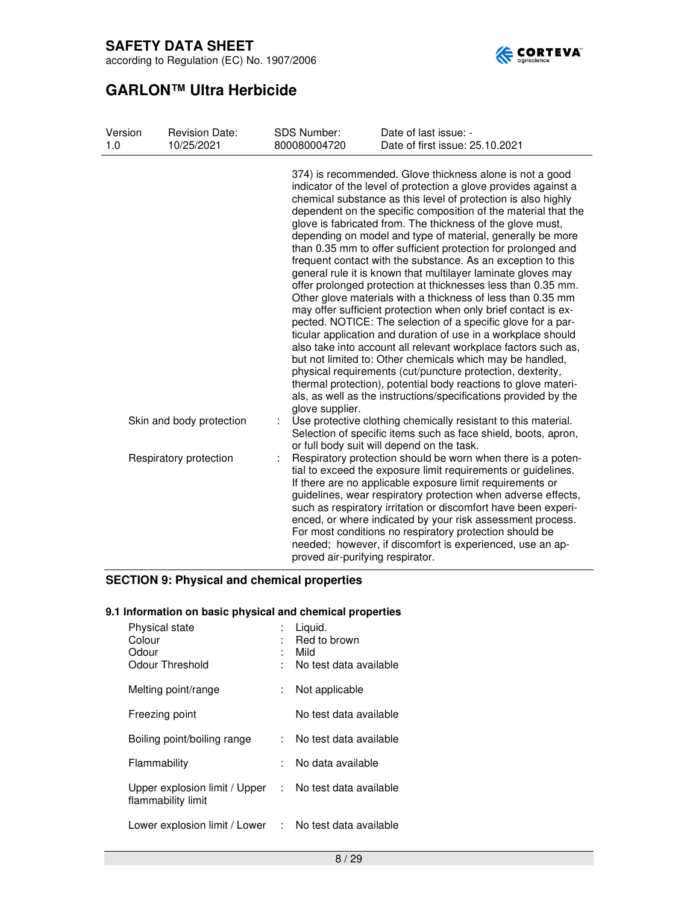



# **GARLON™ Ultra Herbicide**

| Version<br>1.0 | <b>Revision Date:</b><br>10/25/2021 | <b>SDS Number:</b><br>800080004720 | Date of last issue: -<br>Date of first issue: 25.10.2021                                                                                                                                                                                                                                                                                                                                                                                                                                                                                                                                                                                                                                                                                                                                                                                                                                                                                                                                                                                                                                                                                                                                     |
|----------------|-------------------------------------|------------------------------------|----------------------------------------------------------------------------------------------------------------------------------------------------------------------------------------------------------------------------------------------------------------------------------------------------------------------------------------------------------------------------------------------------------------------------------------------------------------------------------------------------------------------------------------------------------------------------------------------------------------------------------------------------------------------------------------------------------------------------------------------------------------------------------------------------------------------------------------------------------------------------------------------------------------------------------------------------------------------------------------------------------------------------------------------------------------------------------------------------------------------------------------------------------------------------------------------|
|                |                                     |                                    | 374) is recommended. Glove thickness alone is not a good<br>indicator of the level of protection a glove provides against a<br>chemical substance as this level of protection is also highly<br>dependent on the specific composition of the material that the<br>glove is fabricated from. The thickness of the glove must,<br>depending on model and type of material, generally be more<br>than 0.35 mm to offer sufficient protection for prolonged and<br>frequent contact with the substance. As an exception to this<br>general rule it is known that multilayer laminate gloves may<br>offer prolonged protection at thicknesses less than 0.35 mm.<br>Other glove materials with a thickness of less than 0.35 mm<br>may offer sufficient protection when only brief contact is ex-<br>pected. NOTICE: The selection of a specific glove for a par-<br>ticular application and duration of use in a workplace should<br>also take into account all relevant workplace factors such as,<br>but not limited to: Other chemicals which may be handled,<br>physical requirements (cut/puncture protection, dexterity,<br>thermal protection), potential body reactions to glove materi- |
|                | Skin and body protection            | glove supplier.                    | als, as well as the instructions/specifications provided by the<br>Use protective clothing chemically resistant to this material.<br>Selection of specific items such as face shield, boots, apron,                                                                                                                                                                                                                                                                                                                                                                                                                                                                                                                                                                                                                                                                                                                                                                                                                                                                                                                                                                                          |
|                | Respiratory protection              | proved air-purifying respirator.   | or full body suit will depend on the task.<br>Respiratory protection should be worn when there is a poten-<br>tial to exceed the exposure limit requirements or guidelines.<br>If there are no applicable exposure limit requirements or<br>guidelines, wear respiratory protection when adverse effects,<br>such as respiratory irritation or discomfort have been experi-<br>enced, or where indicated by your risk assessment process.<br>For most conditions no respiratory protection should be<br>needed; however, if discomfort is experienced, use an ap-                                                                                                                                                                                                                                                                                                                                                                                                                                                                                                                                                                                                                            |

### **SECTION 9: Physical and chemical properties**

### **9.1 Information on basic physical and chemical properties**

| <b>Physical state</b><br>Colour<br>Odour<br>Odour Threshold                  | t.  | Liquid.<br>Red to brown<br>Mild<br>No test data available |
|------------------------------------------------------------------------------|-----|-----------------------------------------------------------|
| Melting point/range                                                          | t.  | Not applicable                                            |
| Freezing point                                                               |     | No test data available                                    |
| Boiling point/boiling range                                                  | t i | No test data available                                    |
| Flammability                                                                 |     | No data available                                         |
| Upper explosion limit / Upper : No test data available<br>flammability limit |     |                                                           |
| Lower explosion limit / Lower :                                              |     | No test data available                                    |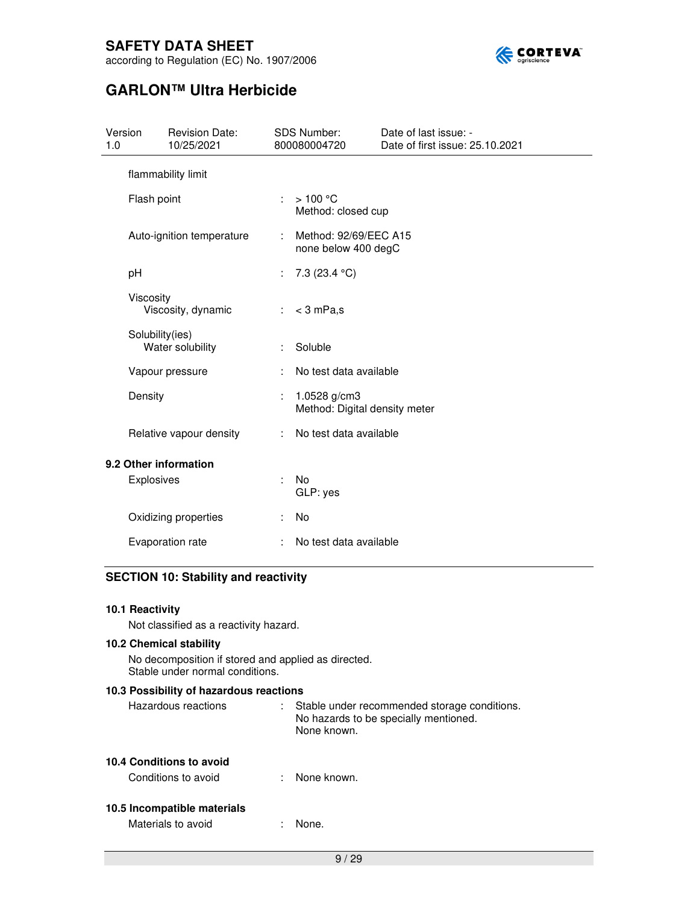

according to Regulation (EC) No. 1907/2006

# **GARLON™ Ultra Herbicide**

| Version<br>1.0                      | <b>Revision Date:</b><br>10/25/2021 |    | <b>SDS Number:</b><br>800080004720            | Date of last issue: -<br>Date of first issue: 25.10.2021 |
|-------------------------------------|-------------------------------------|----|-----------------------------------------------|----------------------------------------------------------|
|                                     | flammability limit                  |    |                                               |                                                          |
|                                     | Flash point                         | ÷  | >100 °C<br>Method: closed cup                 |                                                          |
|                                     | Auto-ignition temperature           |    | Method: 92/69/EEC A15<br>none below 400 degC  |                                                          |
| рH                                  |                                     | ÷  | 7.3 $(23.4 °C)$                               |                                                          |
|                                     | Viscosity<br>Viscosity, dynamic     | ÷. | $<$ 3 mPa,s                                   |                                                          |
| Solubility(ies)<br>Water solubility |                                     |    | Soluble                                       |                                                          |
| Vapour pressure                     |                                     |    | No test data available                        |                                                          |
|                                     | Density                             |    | 1.0528 g/cm3<br>Method: Digital density meter |                                                          |
|                                     | Relative vapour density             | ÷. | No test data available                        |                                                          |
| 9.2 Other information               |                                     |    |                                               |                                                          |
|                                     | Explosives                          | ÷. | No.<br>GLP: yes                               |                                                          |
|                                     | Oxidizing properties                |    | <b>No</b>                                     |                                                          |
|                                     | Evaporation rate                    |    | No test data available                        |                                                          |

### **SECTION 10: Stability and reactivity**

| 10.1 Reactivity |  |
|-----------------|--|
|                 |  |

Not classified as a reactivity hazard.

### **10.2 Chemical stability**

No decomposition if stored and applied as directed. Stable under normal conditions.

### **10.3 Possibility of hazardous reactions**

| Hazardous reactions | Stable under recommended storage conditions. |
|---------------------|----------------------------------------------|
|                     | No hazards to be specially mentioned.        |
|                     | None known.                                  |

### **10.4 Conditions to avoid**

Conditions to avoid : None known.

### **10.5 Incompatible materials**

Materials to avoid **in the state of the State** in None.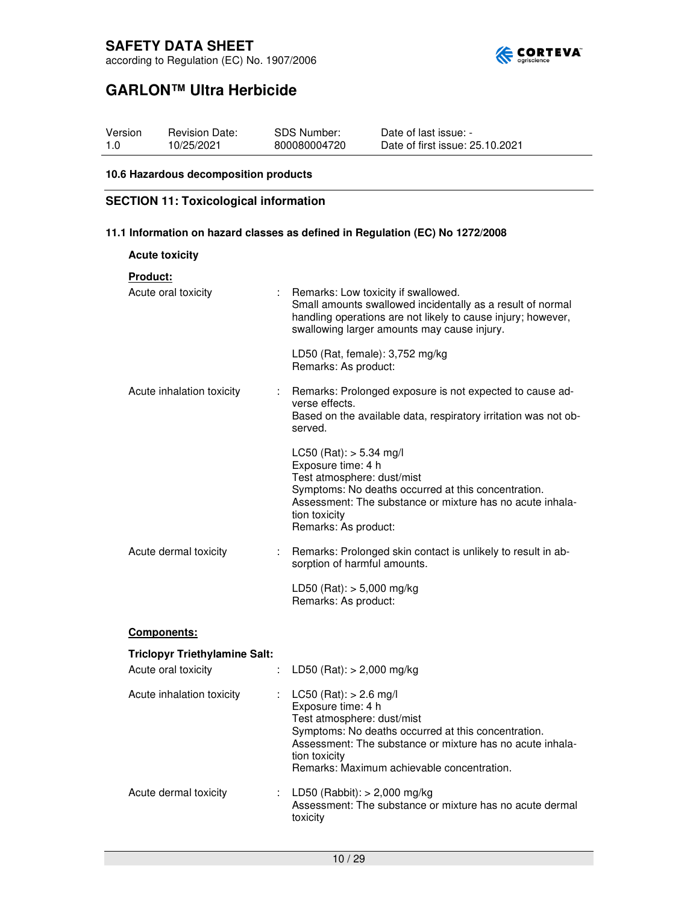

# **GARLON™ Ultra Herbicide**

| Version | <b>Revision Date:</b> | SDS Number:  | Date of last issue: -           |
|---------|-----------------------|--------------|---------------------------------|
| 1.0     | 10/25/2021            | 800080004720 | Date of first issue: 25.10.2021 |

### **10.6 Hazardous decomposition products**

### **SECTION 11: Toxicological information**

**11.1 Information on hazard classes as defined in Regulation (EC) No 1272/2008** 

| <b>Acute toxicity</b>                |                                                                                                                                                                                                                                                                   |
|--------------------------------------|-------------------------------------------------------------------------------------------------------------------------------------------------------------------------------------------------------------------------------------------------------------------|
| <u>Product:</u>                      |                                                                                                                                                                                                                                                                   |
| Acute oral toxicity<br>÷.            | Remarks: Low toxicity if swallowed.<br>Small amounts swallowed incidentally as a result of normal<br>handling operations are not likely to cause injury; however,<br>swallowing larger amounts may cause injury.                                                  |
|                                      | LD50 (Rat, female): 3,752 mg/kg<br>Remarks: As product:                                                                                                                                                                                                           |
| Acute inhalation toxicity            | : Remarks: Prolonged exposure is not expected to cause ad-<br>verse effects.<br>Based on the available data, respiratory irritation was not ob-<br>served.                                                                                                        |
|                                      | LC50 (Rat): $> 5.34$ mg/l<br>Exposure time: 4 h<br>Test atmosphere: dust/mist<br>Symptoms: No deaths occurred at this concentration.<br>Assessment: The substance or mixture has no acute inhala-<br>tion toxicity<br>Remarks: As product:                        |
| Acute dermal toxicity<br>÷.          | Remarks: Prolonged skin contact is unlikely to result in ab-<br>sorption of harmful amounts.                                                                                                                                                                      |
|                                      | LD50 (Rat): > 5,000 mg/kg<br>Remarks: As product:                                                                                                                                                                                                                 |
| <b>Components:</b>                   |                                                                                                                                                                                                                                                                   |
| <b>Triclopyr Triethylamine Salt:</b> |                                                                                                                                                                                                                                                                   |
| Acute oral toxicity<br>÷.            | LD50 (Rat): $> 2,000$ mg/kg                                                                                                                                                                                                                                       |
| Acute inhalation toxicity<br>÷.      | $LC50$ (Rat): $> 2.6$ mg/l<br>Exposure time: 4 h<br>Test atmosphere: dust/mist<br>Symptoms: No deaths occurred at this concentration.<br>Assessment: The substance or mixture has no acute inhala-<br>tion toxicity<br>Remarks: Maximum achievable concentration. |
| Acute dermal toxicity                | : LD50 (Rabbit): $> 2,000$ mg/kg<br>Assessment: The substance or mixture has no acute dermal<br>toxicity                                                                                                                                                          |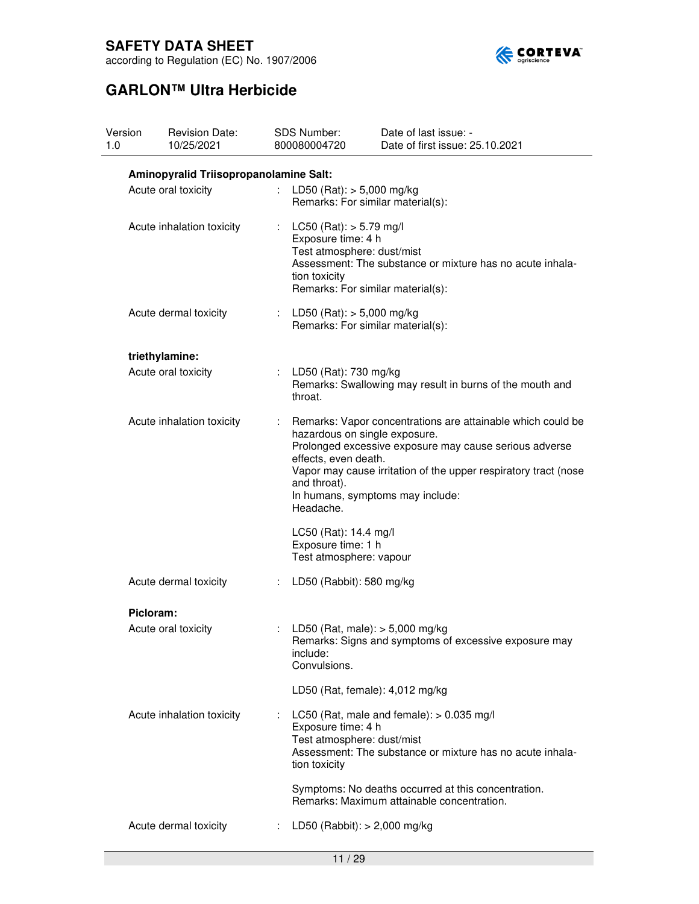

according to Regulation (EC) No. 1907/2006

| Version<br>1.0 | <b>Revision Date:</b><br>10/25/2021    | SDS Number:<br>800080004720                             | Date of last issue: -<br>Date of first issue: 25.10.2021                                                                                                                                                                                                      |  |  |  |
|----------------|----------------------------------------|---------------------------------------------------------|---------------------------------------------------------------------------------------------------------------------------------------------------------------------------------------------------------------------------------------------------------------|--|--|--|
|                | Aminopyralid Triisopropanolamine Salt: |                                                         |                                                                                                                                                                                                                                                               |  |  |  |
|                | Acute oral toxicity                    |                                                         | : LD50 (Rat): $> 5,000$ mg/kg<br>Remarks: For similar material(s):                                                                                                                                                                                            |  |  |  |
|                | Acute inhalation toxicity              | tion toxicity                                           | LC50 (Rat): $> 5.79$ mg/l<br>Exposure time: 4 h<br>Test atmosphere: dust/mist<br>Assessment: The substance or mixture has no acute inhala-<br>Remarks: For similar material(s):                                                                               |  |  |  |
|                | Acute dermal toxicity                  |                                                         | : LD50 (Rat): $> 5,000$ mg/kg<br>Remarks: For similar material(s):                                                                                                                                                                                            |  |  |  |
|                | triethylamine:                         |                                                         |                                                                                                                                                                                                                                                               |  |  |  |
|                | Acute oral toxicity                    | : LD50 (Rat): 730 mg/kg<br>throat.                      | Remarks: Swallowing may result in burns of the mouth and                                                                                                                                                                                                      |  |  |  |
|                | Acute inhalation toxicity              | t.<br>effects, even death.<br>and throat).<br>Headache. | Remarks: Vapor concentrations are attainable which could be<br>hazardous on single exposure.<br>Prolonged excessive exposure may cause serious adverse<br>Vapor may cause irritation of the upper respiratory tract (nose<br>In humans, symptoms may include: |  |  |  |
|                |                                        | LC50 (Rat): 14.4 mg/l<br>Exposure time: 1 h             | Test atmosphere: vapour                                                                                                                                                                                                                                       |  |  |  |
|                | Acute dermal toxicity                  | ÷.                                                      | LD50 (Rabbit): 580 mg/kg                                                                                                                                                                                                                                      |  |  |  |
|                | Picloram:                              |                                                         |                                                                                                                                                                                                                                                               |  |  |  |
|                | Acute oral toxicity                    | include:<br>Convulsions.                                | LD50 (Rat, male): $> 5,000$ mg/kg<br>Remarks: Signs and symptoms of excessive exposure may                                                                                                                                                                    |  |  |  |
|                |                                        |                                                         | LD50 (Rat, female): 4,012 mg/kg                                                                                                                                                                                                                               |  |  |  |
|                | Acute inhalation toxicity              | Exposure time: 4 h<br>tion toxicity                     | LC50 (Rat, male and female): $> 0.035$ mg/l<br>Test atmosphere: dust/mist<br>Assessment: The substance or mixture has no acute inhala-                                                                                                                        |  |  |  |
|                |                                        |                                                         | Symptoms: No deaths occurred at this concentration.<br>Remarks: Maximum attainable concentration.                                                                                                                                                             |  |  |  |
|                | Acute dermal toxicity                  | ÷.                                                      | LD50 (Rabbit): $> 2,000$ mg/kg                                                                                                                                                                                                                                |  |  |  |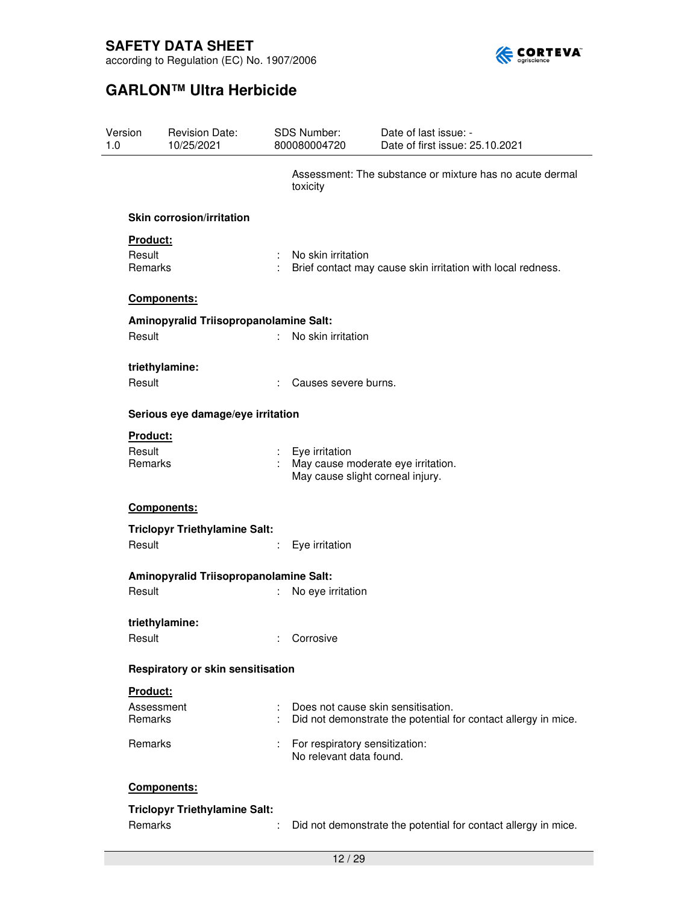

| Version<br>1.0                | <b>Revision Date:</b><br>10/25/2021            |    | SDS Number:<br>800080004720                                                              | Date of last issue: -<br>Date of first issue: 25.10.2021       |
|-------------------------------|------------------------------------------------|----|------------------------------------------------------------------------------------------|----------------------------------------------------------------|
|                               |                                                |    | toxicity                                                                                 | Assessment: The substance or mixture has no acute dermal       |
|                               | <b>Skin corrosion/irritation</b>               |    |                                                                                          |                                                                |
|                               | Product:<br>Result<br>Remarks                  |    | No skin irritation                                                                       | Brief contact may cause skin irritation with local redness.    |
|                               | Components:                                    |    |                                                                                          |                                                                |
| Result                        | Aminopyralid Triisopropanolamine Salt:         | ÷. | No skin irritation                                                                       |                                                                |
| Result                        | triethylamine:                                 | ÷  | Causes severe burns.                                                                     |                                                                |
|                               | Serious eye damage/eye irritation              |    |                                                                                          |                                                                |
| Product:<br>Result<br>Remarks |                                                |    | Eye irritation<br>May cause moderate eye irritation.<br>May cause slight corneal injury. |                                                                |
| Components:                   |                                                |    |                                                                                          |                                                                |
|                               | <b>Triclopyr Triethylamine Salt:</b><br>Result |    | Eye irritation                                                                           |                                                                |
|                               | Aminopyralid Triisopropanolamine Salt:         |    |                                                                                          |                                                                |
| Result                        |                                                |    | No eye irritation                                                                        |                                                                |
| Result                        | triethylamine:                                 |    | : Corrosive                                                                              |                                                                |
|                               | Respiratory or skin sensitisation              |    |                                                                                          |                                                                |
| <b>Product:</b><br>Remarks    | Assessment                                     |    | Does not cause skin sensitisation.                                                       | Did not demonstrate the potential for contact allergy in mice. |
| Remarks                       |                                                |    | For respiratory sensitization:<br>No relevant data found.                                |                                                                |
|                               | Components:                                    |    |                                                                                          |                                                                |
| Remarks                       | <b>Triclopyr Triethylamine Salt:</b>           |    |                                                                                          | Did not demonstrate the potential for contact allergy in mice. |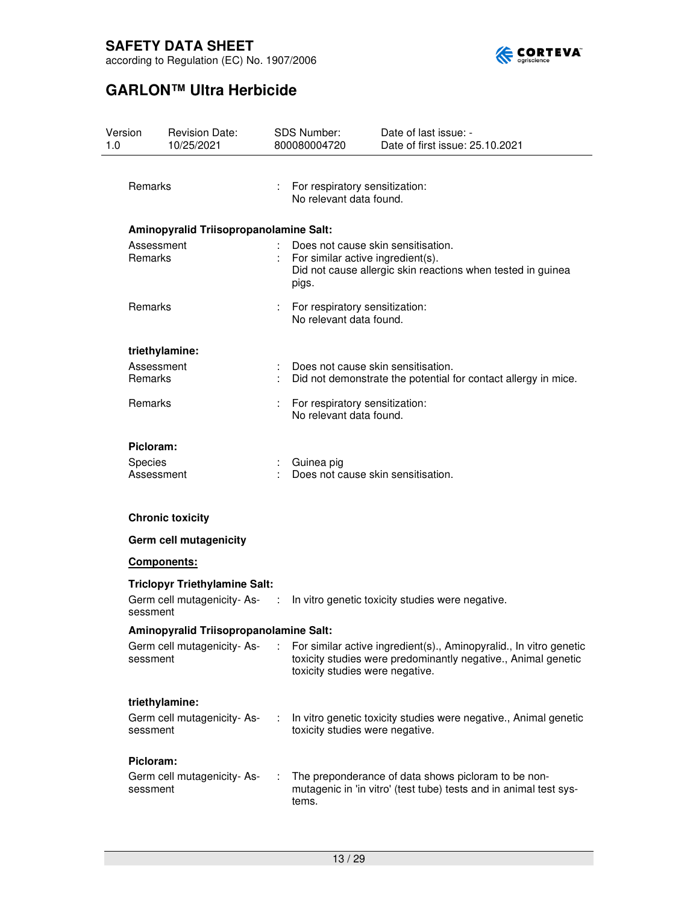

according to Regulation (EC) No. 1907/2006

| Version<br>1.0 | <b>Revision Date:</b><br>10/25/2021    |  | <b>SDS Number:</b><br>800080004720                                                                                                              | Date of last issue: -<br>Date of first issue: 25.10.2021                                                                            |  |  |
|----------------|----------------------------------------|--|-------------------------------------------------------------------------------------------------------------------------------------------------|-------------------------------------------------------------------------------------------------------------------------------------|--|--|
|                |                                        |  |                                                                                                                                                 |                                                                                                                                     |  |  |
| Remarks        |                                        |  | For respiratory sensitization:<br>No relevant data found.                                                                                       |                                                                                                                                     |  |  |
|                | Aminopyralid Triisopropanolamine Salt: |  |                                                                                                                                                 |                                                                                                                                     |  |  |
| Remarks        | Assessment                             |  | Does not cause skin sensitisation.<br>For similar active ingredient(s).<br>Did not cause allergic skin reactions when tested in guinea<br>pigs. |                                                                                                                                     |  |  |
| Remarks        |                                        |  | For respiratory sensitization:<br>No relevant data found.                                                                                       |                                                                                                                                     |  |  |
|                | triethylamine:                         |  |                                                                                                                                                 |                                                                                                                                     |  |  |
| Remarks        | Assessment                             |  |                                                                                                                                                 | Does not cause skin sensitisation.<br>Did not demonstrate the potential for contact allergy in mice.                                |  |  |
|                | Remarks                                |  | For respiratory sensitization:<br>No relevant data found.                                                                                       |                                                                                                                                     |  |  |
| Picloram:      |                                        |  |                                                                                                                                                 |                                                                                                                                     |  |  |
| Species        | Assessment                             |  | Guinea pig                                                                                                                                      | Does not cause skin sensitisation.                                                                                                  |  |  |
|                | <b>Chronic toxicity</b>                |  |                                                                                                                                                 |                                                                                                                                     |  |  |
|                | Germ cell mutagenicity                 |  |                                                                                                                                                 |                                                                                                                                     |  |  |
|                | <b>Components:</b>                     |  |                                                                                                                                                 |                                                                                                                                     |  |  |
|                | <b>Triclopyr Triethylamine Salt:</b>   |  |                                                                                                                                                 |                                                                                                                                     |  |  |
| sessment       |                                        |  |                                                                                                                                                 | Germ cell mutagenicity-As- : In vitro genetic toxicity studies were negative.                                                       |  |  |
|                | Aminopyralid Triisopropanolamine Salt: |  |                                                                                                                                                 |                                                                                                                                     |  |  |
| sessment       | Germ cell mutagenicity-As-             |  | toxicity studies were negative.                                                                                                                 | For similar active ingredient(s)., Aminopyralid., In vitro genetic<br>toxicity studies were predominantly negative., Animal genetic |  |  |
|                | triethylamine:                         |  |                                                                                                                                                 |                                                                                                                                     |  |  |
| sessment       | Germ cell mutagenicity-As-             |  | toxicity studies were negative.                                                                                                                 | In vitro genetic toxicity studies were negative., Animal genetic                                                                    |  |  |
| Picloram:      |                                        |  |                                                                                                                                                 |                                                                                                                                     |  |  |
| sessment       | Germ cell mutagenicity-As-             |  | tems.                                                                                                                                           | The preponderance of data shows picloram to be non-<br>mutagenic in 'in vitro' (test tube) tests and in animal test sys-            |  |  |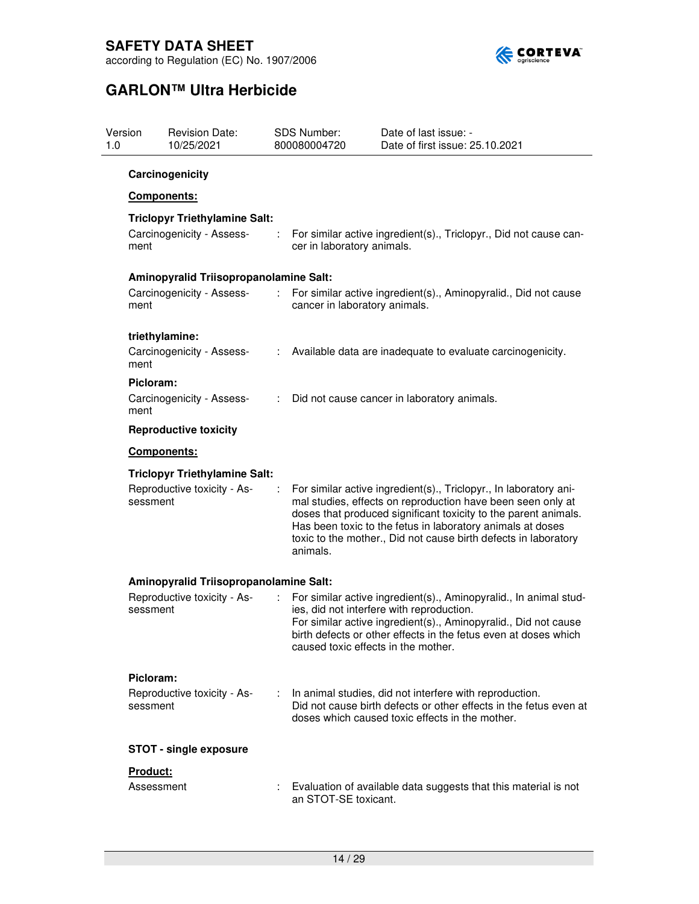

| <b>Revision Date:</b><br>Version<br>10/25/2021<br>1.0 |                                        |                                                                                                                                                                                                                                                                                                                                                  | <b>SDS Number:</b><br>800080004720 | Date of last issue: -<br>Date of first issue: 25.10.2021                                                                                                                                                                                                                                    |  |
|-------------------------------------------------------|----------------------------------------|--------------------------------------------------------------------------------------------------------------------------------------------------------------------------------------------------------------------------------------------------------------------------------------------------------------------------------------------------|------------------------------------|---------------------------------------------------------------------------------------------------------------------------------------------------------------------------------------------------------------------------------------------------------------------------------------------|--|
|                                                       | Carcinogenicity                        |                                                                                                                                                                                                                                                                                                                                                  |                                    |                                                                                                                                                                                                                                                                                             |  |
|                                                       | <b>Components:</b>                     |                                                                                                                                                                                                                                                                                                                                                  |                                    |                                                                                                                                                                                                                                                                                             |  |
|                                                       | <b>Triclopyr Triethylamine Salt:</b>   |                                                                                                                                                                                                                                                                                                                                                  |                                    |                                                                                                                                                                                                                                                                                             |  |
| ment                                                  | Carcinogenicity - Assess-              | ÷                                                                                                                                                                                                                                                                                                                                                | cer in laboratory animals.         | For similar active ingredient(s)., Triclopyr., Did not cause can-                                                                                                                                                                                                                           |  |
|                                                       | Aminopyralid Triisopropanolamine Salt: |                                                                                                                                                                                                                                                                                                                                                  |                                    |                                                                                                                                                                                                                                                                                             |  |
| ment                                                  | Carcinogenicity - Assess-              | $\mathcal{I}^{\mathcal{I}}$                                                                                                                                                                                                                                                                                                                      | cancer in laboratory animals.      | For similar active ingredient(s)., Aminopyralid., Did not cause                                                                                                                                                                                                                             |  |
|                                                       | triethylamine:                         |                                                                                                                                                                                                                                                                                                                                                  |                                    |                                                                                                                                                                                                                                                                                             |  |
| ment                                                  | Carcinogenicity - Assess-              | ÷                                                                                                                                                                                                                                                                                                                                                |                                    | Available data are inadequate to evaluate carcinogenicity.                                                                                                                                                                                                                                  |  |
| Picloram:                                             |                                        |                                                                                                                                                                                                                                                                                                                                                  |                                    |                                                                                                                                                                                                                                                                                             |  |
| ment                                                  | Carcinogenicity - Assess-              | ÷.                                                                                                                                                                                                                                                                                                                                               |                                    | Did not cause cancer in laboratory animals.                                                                                                                                                                                                                                                 |  |
|                                                       | <b>Reproductive toxicity</b>           |                                                                                                                                                                                                                                                                                                                                                  |                                    |                                                                                                                                                                                                                                                                                             |  |
|                                                       | Components:                            |                                                                                                                                                                                                                                                                                                                                                  |                                    |                                                                                                                                                                                                                                                                                             |  |
|                                                       | <b>Triclopyr Triethylamine Salt:</b>   |                                                                                                                                                                                                                                                                                                                                                  |                                    |                                                                                                                                                                                                                                                                                             |  |
| Reproductive toxicity - As-<br>÷<br>sessment          |                                        | For similar active ingredient(s)., Triclopyr., In laboratory ani-<br>mal studies, effects on reproduction have been seen only at<br>doses that produced significant toxicity to the parent animals.<br>Has been toxic to the fetus in laboratory animals at doses<br>toxic to the mother., Did not cause birth defects in laboratory<br>animals. |                                    |                                                                                                                                                                                                                                                                                             |  |
|                                                       | Aminopyralid Triisopropanolamine Salt: |                                                                                                                                                                                                                                                                                                                                                  |                                    |                                                                                                                                                                                                                                                                                             |  |
| sessment                                              | Reproductive toxicity - As-            | ÷                                                                                                                                                                                                                                                                                                                                                |                                    | For similar active ingredient(s)., Aminopyralid., In animal stud-<br>ies, did not interfere with reproduction.<br>For similar active ingredient(s)., Aminopyralid., Did not cause<br>birth defects or other effects in the fetus even at doses which<br>caused toxic effects in the mother. |  |
| Picloram:                                             |                                        |                                                                                                                                                                                                                                                                                                                                                  |                                    |                                                                                                                                                                                                                                                                                             |  |
| sessment                                              | Reproductive toxicity - As-            | ÷                                                                                                                                                                                                                                                                                                                                                |                                    | In animal studies, did not interfere with reproduction.<br>Did not cause birth defects or other effects in the fetus even at<br>doses which caused toxic effects in the mother.                                                                                                             |  |
|                                                       | <b>STOT - single exposure</b>          |                                                                                                                                                                                                                                                                                                                                                  |                                    |                                                                                                                                                                                                                                                                                             |  |
| Product:                                              |                                        |                                                                                                                                                                                                                                                                                                                                                  |                                    |                                                                                                                                                                                                                                                                                             |  |
|                                                       | Assessment                             |                                                                                                                                                                                                                                                                                                                                                  | an STOT-SE toxicant.               | Evaluation of available data suggests that this material is not                                                                                                                                                                                                                             |  |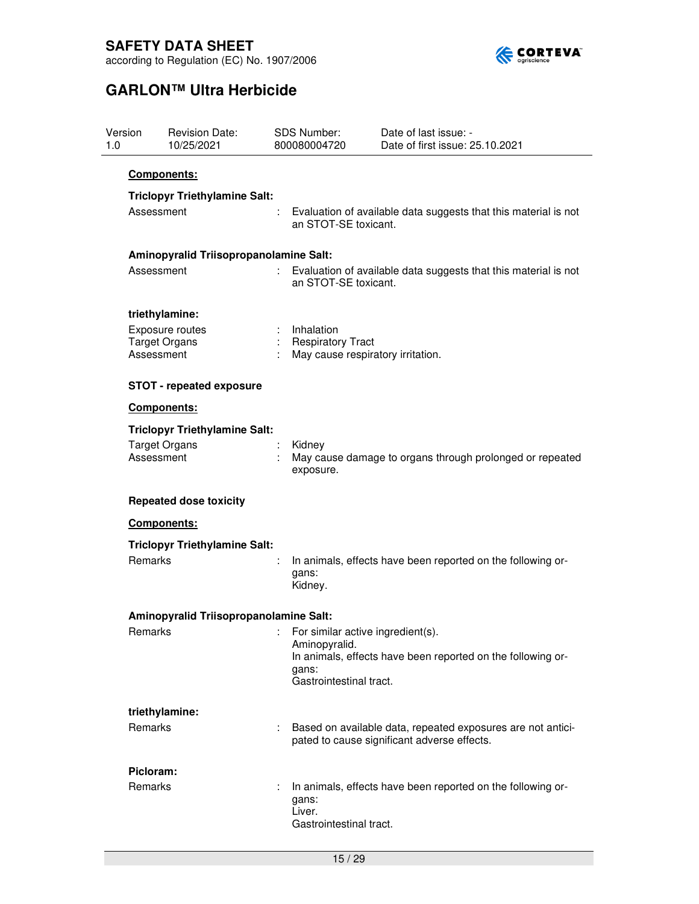

| Version<br>1.0 |                                    | <b>Revision Date:</b><br>10/25/2021    |    | <b>SDS Number:</b><br>800080004720                                              | Date of last issue: -<br>Date of first issue: 25.10.2021                                                   |  |  |  |  |
|----------------|------------------------------------|----------------------------------------|----|---------------------------------------------------------------------------------|------------------------------------------------------------------------------------------------------------|--|--|--|--|
|                | <b>Components:</b>                 |                                        |    |                                                                                 |                                                                                                            |  |  |  |  |
|                | Assessment                         | <b>Triclopyr Triethylamine Salt:</b>   | ÷. |                                                                                 | Evaluation of available data suggests that this material is not                                            |  |  |  |  |
|                |                                    |                                        |    | an STOT-SE toxicant.                                                            |                                                                                                            |  |  |  |  |
|                |                                    | Aminopyralid Triisopropanolamine Salt: |    |                                                                                 |                                                                                                            |  |  |  |  |
|                | Assessment                         |                                        |    | an STOT-SE toxicant.                                                            | Evaluation of available data suggests that this material is not                                            |  |  |  |  |
|                | triethylamine:                     |                                        |    |                                                                                 |                                                                                                            |  |  |  |  |
|                | <b>Target Organs</b>               | Exposure routes                        |    | : Inhalation                                                                    |                                                                                                            |  |  |  |  |
|                | Assessment                         |                                        |    |                                                                                 | : Respiratory Tract<br>May cause respiratory irritation.                                                   |  |  |  |  |
|                |                                    | <b>STOT - repeated exposure</b>        |    |                                                                                 |                                                                                                            |  |  |  |  |
|                | Components:                        |                                        |    |                                                                                 |                                                                                                            |  |  |  |  |
|                |                                    | <b>Triclopyr Triethylamine Salt:</b>   |    |                                                                                 |                                                                                                            |  |  |  |  |
|                | <b>Target Organs</b><br>Assessment |                                        |    | Kidney<br>May cause damage to organs through prolonged or repeated<br>exposure. |                                                                                                            |  |  |  |  |
|                |                                    | <b>Repeated dose toxicity</b>          |    |                                                                                 |                                                                                                            |  |  |  |  |
|                | Components:                        |                                        |    |                                                                                 |                                                                                                            |  |  |  |  |
|                |                                    | <b>Triclopyr Triethylamine Salt:</b>   |    |                                                                                 |                                                                                                            |  |  |  |  |
|                | Remarks                            |                                        |    | gans:<br>Kidney.                                                                | In animals, effects have been reported on the following or-                                                |  |  |  |  |
|                |                                    | Aminopyralid Triisopropanolamine Salt: |    |                                                                                 |                                                                                                            |  |  |  |  |
|                | <b>Remarks</b>                     |                                        |    | For similar active ingredient(s).                                               |                                                                                                            |  |  |  |  |
|                |                                    |                                        |    | Aminopyralid.<br>gans:<br>Gastrointestinal tract.                               | In animals, effects have been reported on the following or-                                                |  |  |  |  |
|                | triethylamine:                     |                                        |    |                                                                                 |                                                                                                            |  |  |  |  |
|                | <b>Remarks</b>                     |                                        |    |                                                                                 | Based on available data, repeated exposures are not antici-<br>pated to cause significant adverse effects. |  |  |  |  |
|                | Picloram:                          |                                        |    |                                                                                 |                                                                                                            |  |  |  |  |
|                | <b>Remarks</b>                     |                                        |    | gans:<br>Liver.<br>Gastrointestinal tract.                                      | In animals, effects have been reported on the following or-                                                |  |  |  |  |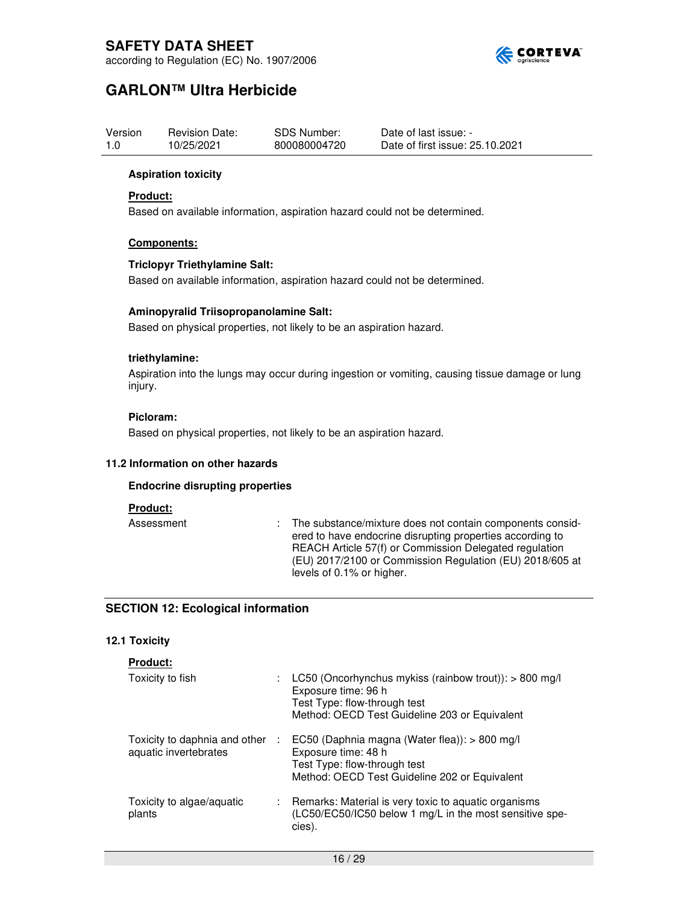

according to Regulation (EC) No. 1907/2006

# **GARLON™ Ultra Herbicide**

| Version | <b>Revision Date:</b> | SDS Number:  | Date of last issue: -           |
|---------|-----------------------|--------------|---------------------------------|
| 1.0     | 10/25/2021            | 800080004720 | Date of first issue: 25.10.2021 |

### **Aspiration toxicity**

### **Product:**

Based on available information, aspiration hazard could not be determined.

### **Components:**

### **Triclopyr Triethylamine Salt:**

Based on available information, aspiration hazard could not be determined.

### **Aminopyralid Triisopropanolamine Salt:**

Based on physical properties, not likely to be an aspiration hazard.

### **triethylamine:**

Aspiration into the lungs may occur during ingestion or vomiting, causing tissue damage or lung injury.

### **Picloram:**

Based on physical properties, not likely to be an aspiration hazard.

#### **11.2 Information on other hazards**

### **Endocrine disrupting properties**

#### **Product:**

Assessment : The substance/mixture does not contain components considered to have endocrine disrupting properties according to REACH Article 57(f) or Commission Delegated regulation (EU) 2017/2100 or Commission Regulation (EU) 2018/605 at levels of 0.1% or higher.

### **SECTION 12: Ecological information**

### **12.1 Toxicity**

### **Product:**

| Toxicity to fish                                       |    | LC50 (Oncorhynchus mykiss (rainbow trout)): > 800 mg/l<br>Exposure time: 96 h<br>Test Type: flow-through test<br>Method: OECD Test Guideline 203 or Equivalent |
|--------------------------------------------------------|----|----------------------------------------------------------------------------------------------------------------------------------------------------------------|
| Toxicity to daphnia and other<br>aquatic invertebrates | A. | EC50 (Daphnia magna (Water flea)): > 800 mg/l<br>Exposure time: 48 h<br>Test Type: flow-through test<br>Method: OECD Test Guideline 202 or Equivalent          |
| Toxicity to algae/aquatic<br>plants                    | ÷. | Remarks: Material is very toxic to aquatic organisms<br>(LC50/EC50/IC50 below 1 mg/L in the most sensitive spe-<br>cies).                                      |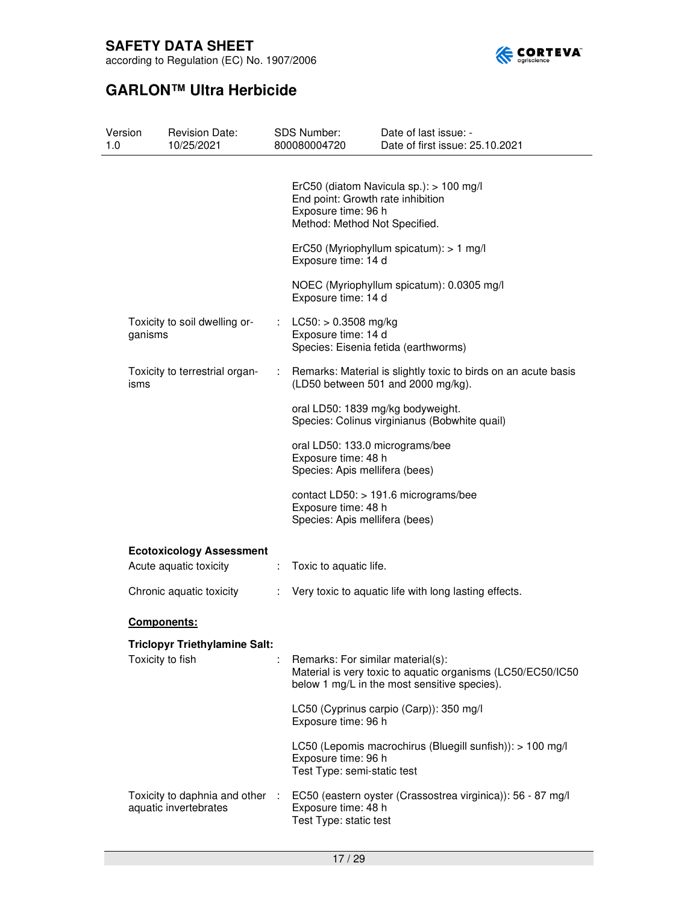

according to Regulation (EC) No. 1907/2006

| Version<br>1.0 | <b>Revision Date:</b><br>10/25/2021                      |   | SDS Number:<br>800080004720                                                               | Date of last issue: -<br>Date of first issue: 25.10.2021                                                    |
|----------------|----------------------------------------------------------|---|-------------------------------------------------------------------------------------------|-------------------------------------------------------------------------------------------------------------|
|                |                                                          |   | End point: Growth rate inhibition<br>Exposure time: 96 h<br>Method: Method Not Specified. | ErC50 (diatom Navicula sp.): > 100 mg/l                                                                     |
|                |                                                          |   | Exposure time: 14 d                                                                       | ErC50 (Myriophyllum spicatum): > 1 mg/l                                                                     |
|                |                                                          |   | Exposure time: 14 d                                                                       | NOEC (Myriophyllum spicatum): 0.0305 mg/l                                                                   |
| ganisms        | Toxicity to soil dwelling or-                            |   | : $LC50: > 0.3508$ mg/kg<br>Exposure time: 14 d                                           | Species: Eisenia fetida (earthworms)                                                                        |
| isms           | Toxicity to terrestrial organ-                           | ÷ |                                                                                           | Remarks: Material is slightly toxic to birds on an acute basis<br>(LD50 between 501 and 2000 mg/kg).        |
|                |                                                          |   |                                                                                           | oral LD50: 1839 mg/kg bodyweight.<br>Species: Colinus virginianus (Bobwhite quail)                          |
|                |                                                          |   | oral LD50: 133.0 micrograms/bee<br>Exposure time: 48 h<br>Species: Apis mellifera (bees)  |                                                                                                             |
|                |                                                          |   | Exposure time: 48 h<br>Species: Apis mellifera (bees)                                     | contact LD50: > 191.6 micrograms/bee                                                                        |
|                | <b>Ecotoxicology Assessment</b>                          |   |                                                                                           |                                                                                                             |
|                | Acute aquatic toxicity                                   | ÷ | Toxic to aquatic life.                                                                    |                                                                                                             |
|                | Chronic aquatic toxicity                                 | ÷ |                                                                                           | Very toxic to aquatic life with long lasting effects.                                                       |
|                | <b>Components:</b>                                       |   |                                                                                           |                                                                                                             |
|                | Triclopyr Triethylamine Salt:                            |   |                                                                                           |                                                                                                             |
|                | Toxicity to fish                                         |   | Remarks: For similar material(s):                                                         | Material is very toxic to aquatic organisms (LC50/EC50/IC50<br>below 1 mg/L in the most sensitive species). |
|                |                                                          |   | Exposure time: 96 h                                                                       | LC50 (Cyprinus carpio (Carp)): 350 mg/l                                                                     |
|                |                                                          |   | Exposure time: 96 h<br>Test Type: semi-static test                                        | LC50 (Lepomis macrochirus (Bluegill sunfish)): > 100 mg/l                                                   |
|                | Toxicity to daphnia and other :<br>aquatic invertebrates |   | Exposure time: 48 h<br>Test Type: static test                                             | EC50 (eastern oyster (Crassostrea virginica)): 56 - 87 mg/l                                                 |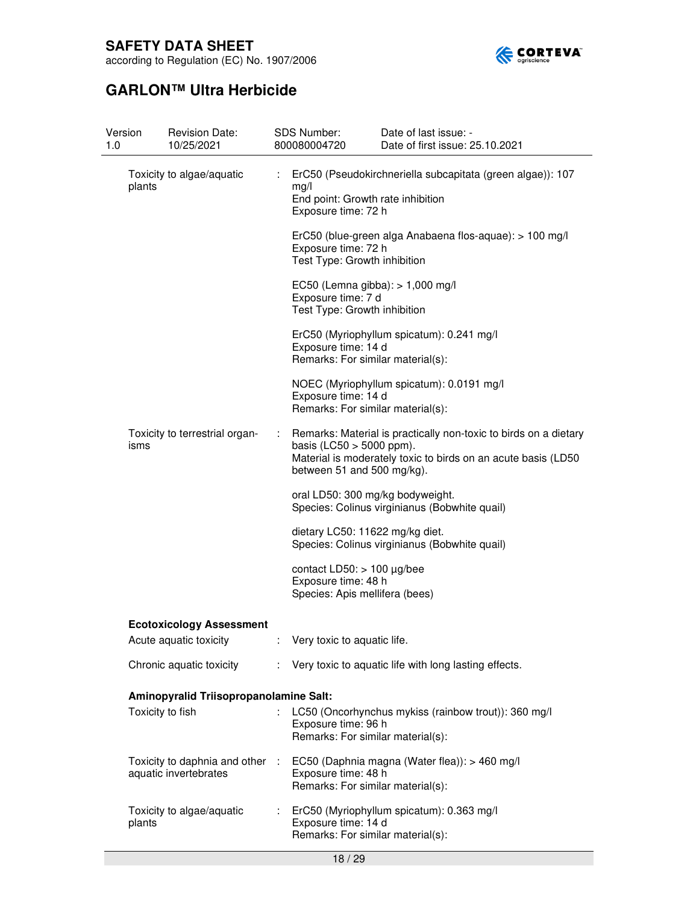

according to Regulation (EC) No. 1907/2006

| 1.0 | Version          | <b>Revision Date:</b><br>10/25/2021                      |    | SDS Number:<br>800080004720                                                               | Date of last issue: -<br>Date of first issue: 25.10.2021                                                                          |
|-----|------------------|----------------------------------------------------------|----|-------------------------------------------------------------------------------------------|-----------------------------------------------------------------------------------------------------------------------------------|
|     | plants           | Toxicity to algae/aquatic                                | ÷. | mg/l<br>End point: Growth rate inhibition<br>Exposure time: 72 h                          | ErC50 (Pseudokirchneriella subcapitata (green algae)): 107                                                                        |
|     |                  |                                                          |    | Exposure time: 72 h<br>Test Type: Growth inhibition                                       | ErC50 (blue-green alga Anabaena flos-aquae): > 100 mg/l                                                                           |
|     |                  |                                                          |    | EC50 (Lemna gibba): > 1,000 mg/l<br>Exposure time: 7 d<br>Test Type: Growth inhibition    |                                                                                                                                   |
|     |                  |                                                          |    | Exposure time: 14 d<br>Remarks: For similar material(s):                                  | ErC50 (Myriophyllum spicatum): 0.241 mg/l                                                                                         |
|     |                  |                                                          |    | Exposure time: 14 d<br>Remarks: For similar material(s):                                  | NOEC (Myriophyllum spicatum): 0.0191 mg/l                                                                                         |
|     | isms             | Toxicity to terrestrial organ-                           | ÷  | basis (LC50 $>$ 5000 ppm).<br>between 51 and 500 mg/kg).                                  | Remarks: Material is practically non-toxic to birds on a dietary<br>Material is moderately toxic to birds on an acute basis (LD50 |
|     |                  |                                                          |    | oral LD50: 300 mg/kg bodyweight.                                                          | Species: Colinus virginianus (Bobwhite quail)                                                                                     |
|     |                  |                                                          |    | dietary LC50: 11622 mg/kg diet.                                                           | Species: Colinus virginianus (Bobwhite quail)                                                                                     |
|     |                  |                                                          |    | contact LD50: $> 100 \mu g/$ bee<br>Exposure time: 48 h<br>Species: Apis mellifera (bees) |                                                                                                                                   |
|     |                  | <b>Ecotoxicology Assessment</b>                          |    |                                                                                           |                                                                                                                                   |
|     |                  | Acute aquatic toxicity                                   |    | : Very toxic to aquatic life.                                                             |                                                                                                                                   |
|     |                  | Chronic aquatic toxicity                                 | ÷. |                                                                                           | Very toxic to aquatic life with long lasting effects.                                                                             |
|     |                  | Aminopyralid Triisopropanolamine Salt:                   |    |                                                                                           |                                                                                                                                   |
|     | Toxicity to fish |                                                          |    | Exposure time: 96 h<br>Remarks: For similar material(s):                                  | LC50 (Oncorhynchus mykiss (rainbow trout)): 360 mg/l                                                                              |
|     |                  | Toxicity to daphnia and other :<br>aquatic invertebrates |    | Exposure time: 48 h<br>Remarks: For similar material(s):                                  | EC50 (Daphnia magna (Water flea)): > 460 mg/l                                                                                     |
|     | plants           | Toxicity to algae/aquatic                                | ÷. | Exposure time: 14 d<br>Remarks: For similar material(s):                                  | ErC50 (Myriophyllum spicatum): 0.363 mg/l                                                                                         |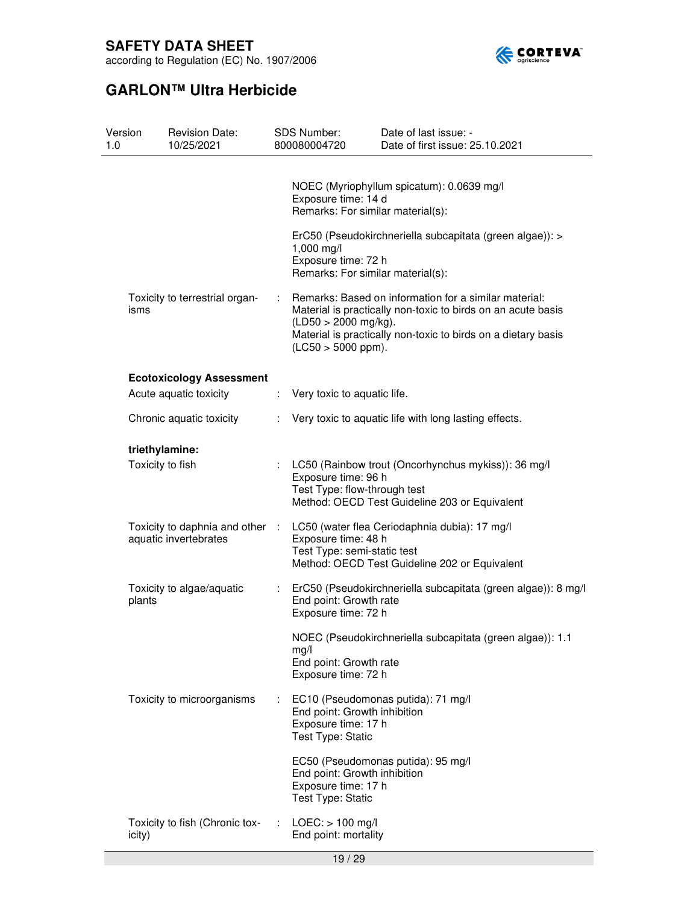

according to Regulation (EC) No. 1907/2006

| Version<br>1.0 |                  | <b>Revision Date:</b><br>10/25/2021                      |   | SDS Number:<br>800080004720                                              | Date of last issue: -<br>Date of first issue: 25.10.2021                                                                                                                               |
|----------------|------------------|----------------------------------------------------------|---|--------------------------------------------------------------------------|----------------------------------------------------------------------------------------------------------------------------------------------------------------------------------------|
|                |                  |                                                          |   | Exposure time: 14 d<br>Remarks: For similar material(s):                 | NOEC (Myriophyllum spicatum): 0.0639 mg/l                                                                                                                                              |
|                |                  |                                                          |   | 1,000 mg/l<br>Exposure time: 72 h<br>Remarks: For similar material(s):   | ErC50 (Pseudokirchneriella subcapitata (green algae)): >                                                                                                                               |
|                | isms             | Toxicity to terrestrial organ-                           | ÷ | $(LD50 > 2000$ mg/kg).<br>$($ LC50 > 5000 ppm $).$                       | Remarks: Based on information for a similar material:<br>Material is practically non-toxic to birds on an acute basis<br>Material is practically non-toxic to birds on a dietary basis |
|                |                  | <b>Ecotoxicology Assessment</b>                          |   |                                                                          |                                                                                                                                                                                        |
|                |                  | Acute aquatic toxicity                                   | ÷ | Very toxic to aquatic life.                                              |                                                                                                                                                                                        |
|                |                  | Chronic aquatic toxicity                                 | ÷ |                                                                          | Very toxic to aquatic life with long lasting effects.                                                                                                                                  |
|                | triethylamine:   |                                                          |   |                                                                          |                                                                                                                                                                                        |
|                | Toxicity to fish |                                                          |   | Exposure time: 96 h<br>Test Type: flow-through test                      | LC50 (Rainbow trout (Oncorhynchus mykiss)): 36 mg/l<br>Method: OECD Test Guideline 203 or Equivalent                                                                                   |
|                |                  | Toxicity to daphnia and other :<br>aquatic invertebrates |   | Exposure time: 48 h<br>Test Type: semi-static test                       | LC50 (water flea Ceriodaphnia dubia): 17 mg/l<br>Method: OECD Test Guideline 202 or Equivalent                                                                                         |
|                | plants           | Toxicity to algae/aquatic                                |   | End point: Growth rate<br>Exposure time: 72 h                            | ErC50 (Pseudokirchneriella subcapitata (green algae)): 8 mg/l                                                                                                                          |
|                |                  |                                                          |   | mg/l<br>End point: Growth rate<br>Exposure time: 72 h                    | NOEC (Pseudokirchneriella subcapitata (green algae)): 1.1                                                                                                                              |
|                |                  | Toxicity to microorganisms                               | ÷ | End point: Growth inhibition<br>Exposure time: 17 h<br>Test Type: Static | EC10 (Pseudomonas putida): 71 mg/l                                                                                                                                                     |
|                |                  |                                                          |   | End point: Growth inhibition<br>Exposure time: 17 h<br>Test Type: Static | EC50 (Pseudomonas putida): 95 mg/l                                                                                                                                                     |
|                | icity)           | Toxicity to fish (Chronic tox-                           | ÷ | $LOEC:$ > 100 mg/l<br>End point: mortality                               |                                                                                                                                                                                        |
|                |                  |                                                          |   |                                                                          |                                                                                                                                                                                        |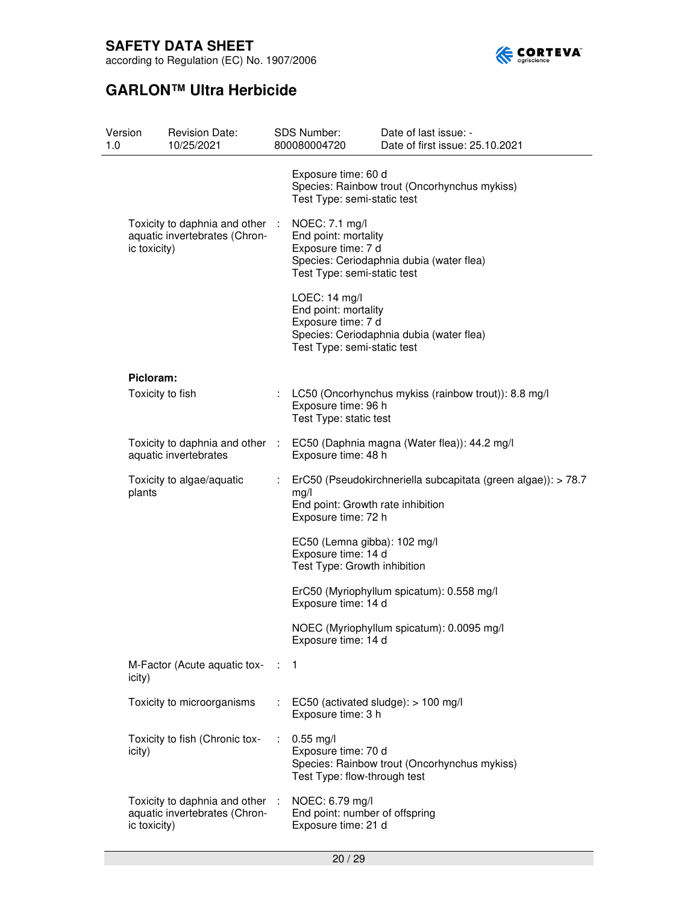

according to Regulation (EC) No. 1907/2006

| Version<br>1.0 |                  | <b>Revision Date:</b><br>10/25/2021                              |   | SDS Number:<br>800080004720                                                                                                       | Date of last issue: -<br>Date of first issue: 25.10.2021 |
|----------------|------------------|------------------------------------------------------------------|---|-----------------------------------------------------------------------------------------------------------------------------------|----------------------------------------------------------|
|                |                  |                                                                  |   | Exposure time: 60 d<br>Test Type: semi-static test                                                                                | Species: Rainbow trout (Oncorhynchus mykiss)             |
|                | ic toxicity)     | Toxicity to daphnia and other :<br>aquatic invertebrates (Chron- |   | NOEC: 7.1 mg/l<br>End point: mortality<br>Exposure time: 7 d<br>Test Type: semi-static test                                       | Species: Ceriodaphnia dubia (water flea)                 |
|                |                  |                                                                  |   | LOEC: 14 mg/l<br>End point: mortality<br>Exposure time: 7 d<br>Test Type: semi-static test                                        | Species: Ceriodaphnia dubia (water flea)                 |
|                | Picloram:        |                                                                  |   |                                                                                                                                   |                                                          |
|                | Toxicity to fish |                                                                  | t | Exposure time: 96 h<br>Test Type: static test                                                                                     | LC50 (Oncorhynchus mykiss (rainbow trout)): 8.8 mg/l     |
|                |                  | Toxicity to daphnia and other :<br>aquatic invertebrates         |   | Exposure time: 48 h                                                                                                               | EC50 (Daphnia magna (Water flea)): 44.2 mg/l             |
|                | plants           | Toxicity to algae/aquatic                                        |   | ErC50 (Pseudokirchneriella subcapitata (green algae)): > 78.7<br>mg/l<br>End point: Growth rate inhibition<br>Exposure time: 72 h |                                                          |
|                |                  |                                                                  |   | EC50 (Lemna gibba): 102 mg/l<br>Exposure time: 14 d<br>Test Type: Growth inhibition                                               |                                                          |
|                |                  |                                                                  |   | Exposure time: 14 d                                                                                                               | ErC50 (Myriophyllum spicatum): 0.558 mg/l                |
|                |                  |                                                                  |   | Exposure time: 14 d                                                                                                               | NOEC (Myriophyllum spicatum): 0.0095 mg/l                |
|                | icity)           | M-Factor (Acute aquatic tox-                                     |   | $\therefore$ 1                                                                                                                    |                                                          |
|                |                  | Toxicity to microorganisms                                       |   | EC50 (activated sludge): > 100 mg/l<br>Exposure time: 3 h                                                                         |                                                          |
|                | icity)           | Toxicity to fish (Chronic tox-                                   | ÷ | $0.55$ mg/l<br>Exposure time: 70 d<br>Test Type: flow-through test                                                                | Species: Rainbow trout (Oncorhynchus mykiss)             |
|                | ic toxicity)     | Toxicity to daphnia and other<br>aquatic invertebrates (Chron-   |   | NOEC: 6.79 mg/l<br>End point: number of offspring<br>Exposure time: 21 d                                                          |                                                          |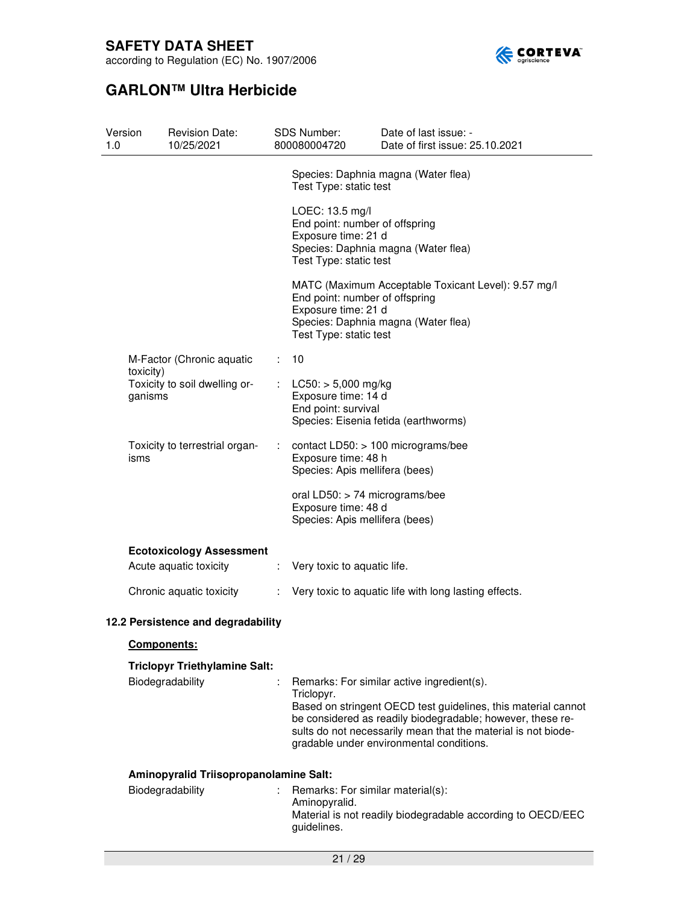

according to Regulation (EC) No. 1907/2006

| Version<br>1.0 |                                        | <b>Revision Date:</b><br>10/25/2021    |                                                                                                                                                                               | <b>SDS Number:</b><br>800080004720                                                          | Date of last issue: -<br>Date of first issue: 25.10.2021                                                                                                                                                                                 |  |  |
|----------------|----------------------------------------|----------------------------------------|-------------------------------------------------------------------------------------------------------------------------------------------------------------------------------|---------------------------------------------------------------------------------------------|------------------------------------------------------------------------------------------------------------------------------------------------------------------------------------------------------------------------------------------|--|--|
|                |                                        |                                        |                                                                                                                                                                               | Test Type: static test                                                                      | Species: Daphnia magna (Water flea)                                                                                                                                                                                                      |  |  |
|                |                                        |                                        | LOEC: 13.5 mg/l<br>End point: number of offspring<br>Exposure time: 21 d<br>Species: Daphnia magna (Water flea)<br>Test Type: static test                                     |                                                                                             |                                                                                                                                                                                                                                          |  |  |
|                |                                        |                                        | MATC (Maximum Acceptable Toxicant Level): 9.57 mg/l<br>End point: number of offspring<br>Exposure time: 21 d<br>Species: Daphnia magna (Water flea)<br>Test Type: static test |                                                                                             |                                                                                                                                                                                                                                          |  |  |
|                | toxicity)                              | M-Factor (Chronic aquatic              | ÷                                                                                                                                                                             | 10                                                                                          |                                                                                                                                                                                                                                          |  |  |
|                | ganisms                                | Toxicity to soil dwelling or-          |                                                                                                                                                                               | $LC50:$ > 5,000 mg/kg<br>Exposure time: 14 d<br>End point: survival                         | Species: Eisenia fetida (earthworms)                                                                                                                                                                                                     |  |  |
|                | Toxicity to terrestrial organ-<br>isms |                                        | ÷.                                                                                                                                                                            | contact LD50: > 100 micrograms/bee<br>Exposure time: 48 h<br>Species: Apis mellifera (bees) |                                                                                                                                                                                                                                          |  |  |
|                |                                        |                                        |                                                                                                                                                                               | oral $LD50:$ > 74 micrograms/bee<br>Exposure time: 48 d<br>Species: Apis mellifera (bees)   |                                                                                                                                                                                                                                          |  |  |
|                |                                        | <b>Ecotoxicology Assessment</b>        |                                                                                                                                                                               |                                                                                             |                                                                                                                                                                                                                                          |  |  |
|                |                                        | Acute aquatic toxicity                 | $\mathcal{L}_{\mathrm{eff}}$                                                                                                                                                  | Very toxic to aquatic life.                                                                 |                                                                                                                                                                                                                                          |  |  |
|                |                                        | Chronic aquatic toxicity               |                                                                                                                                                                               | : Very toxic to aquatic life with long lasting effects.                                     |                                                                                                                                                                                                                                          |  |  |
|                |                                        | 12.2 Persistence and degradability     |                                                                                                                                                                               |                                                                                             |                                                                                                                                                                                                                                          |  |  |
|                | <b>Components:</b>                     |                                        |                                                                                                                                                                               |                                                                                             |                                                                                                                                                                                                                                          |  |  |
|                |                                        | <b>Triclopyr Triethylamine Salt:</b>   |                                                                                                                                                                               |                                                                                             |                                                                                                                                                                                                                                          |  |  |
|                |                                        | Biodegradability                       |                                                                                                                                                                               | Triclopyr.                                                                                  | Remarks: For similar active ingredient(s).                                                                                                                                                                                               |  |  |
|                |                                        |                                        |                                                                                                                                                                               |                                                                                             | Based on stringent OECD test guidelines, this material cannot<br>be considered as readily biodegradable; however, these re-<br>sults do not necessarily mean that the material is not biode-<br>gradable under environmental conditions. |  |  |
|                |                                        | Aminopyralid Triisopropanolamine Salt: |                                                                                                                                                                               |                                                                                             |                                                                                                                                                                                                                                          |  |  |
|                |                                        | Biodegradability                       |                                                                                                                                                                               | Remarks: For similar material(s):<br>Aminopyralid.<br>guidelines.                           | Material is not readily biodegradable according to OECD/EEC                                                                                                                                                                              |  |  |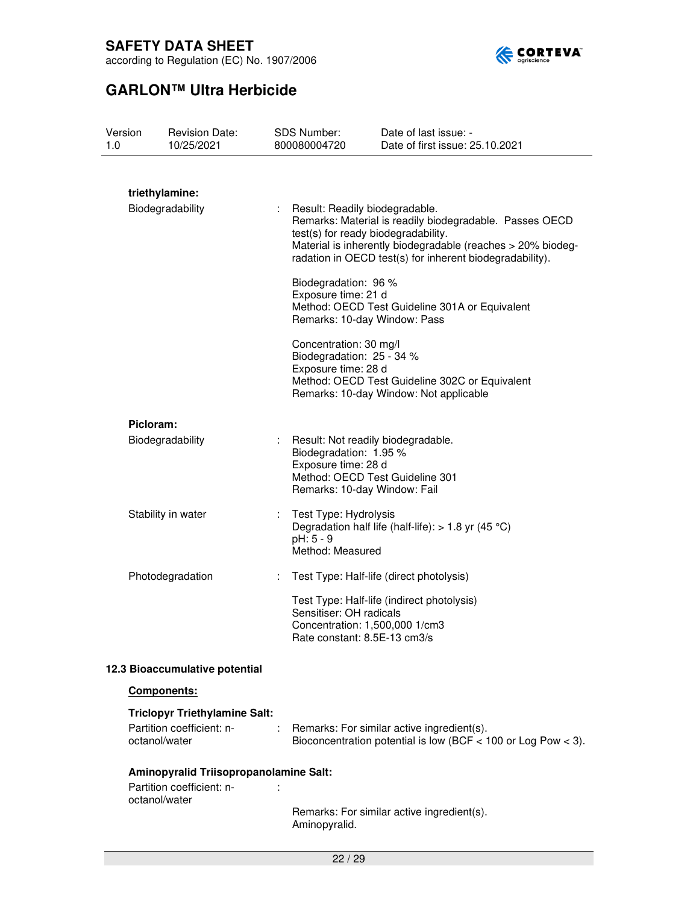

according to Regulation (EC) No. 1907/2006

| Version<br>1.0 |                                    | <b>Revision Date:</b><br>10/25/2021    |   | <b>SDS Number:</b><br>800080004720                                                                                                                     | Date of last issue: -<br>Date of first issue: 25.10.2021                                                                                                                           |
|----------------|------------------------------------|----------------------------------------|---|--------------------------------------------------------------------------------------------------------------------------------------------------------|------------------------------------------------------------------------------------------------------------------------------------------------------------------------------------|
|                |                                    |                                        |   |                                                                                                                                                        |                                                                                                                                                                                    |
|                | triethylamine:<br>Biodegradability |                                        | ÷ | Result: Readily biodegradable.<br>test(s) for ready biodegradability.                                                                                  | Remarks: Material is readily biodegradable. Passes OECD<br>Material is inherently biodegradable (reaches > 20% biodeg-<br>radation in OECD test(s) for inherent biodegradability). |
|                |                                    |                                        |   | Biodegradation: 96 %<br>Exposure time: 21 d<br>Remarks: 10-day Window: Pass                                                                            | Method: OECD Test Guideline 301A or Equivalent                                                                                                                                     |
|                |                                    |                                        |   | Concentration: 30 mg/l<br>Biodegradation: 25 - 34 %<br>Exposure time: 28 d                                                                             | Method: OECD Test Guideline 302C or Equivalent<br>Remarks: 10-day Window: Not applicable                                                                                           |
|                | Picloram:                          |                                        |   |                                                                                                                                                        |                                                                                                                                                                                    |
|                |                                    | Biodegradability                       |   | Result: Not readily biodegradable.<br>Biodegradation: 1.95 %<br>Exposure time: 28 d<br>Method: OECD Test Guideline 301<br>Remarks: 10-day Window: Fail |                                                                                                                                                                                    |
|                |                                    | Stability in water                     |   | Test Type: Hydrolysis<br>pH: 5 - 9<br>Method: Measured                                                                                                 | Degradation half life (half-life): $> 1.8$ yr (45 °C)                                                                                                                              |
|                |                                    | Photodegradation                       | ÷ |                                                                                                                                                        | Test Type: Half-life (direct photolysis)                                                                                                                                           |
|                |                                    |                                        |   | Sensitiser: OH radicals<br>Concentration: 1,500,000 1/cm3<br>Rate constant: 8.5E-13 cm3/s                                                              | Test Type: Half-life (indirect photolysis)                                                                                                                                         |
|                |                                    | 12.3 Bioaccumulative potential         |   |                                                                                                                                                        |                                                                                                                                                                                    |
|                |                                    | Components:                            |   |                                                                                                                                                        |                                                                                                                                                                                    |
|                |                                    | <b>Triclopyr Triethylamine Salt:</b>   |   |                                                                                                                                                        |                                                                                                                                                                                    |
|                | octanol/water                      | Partition coefficient: n-              |   |                                                                                                                                                        | Remarks: For similar active ingredient(s).<br>Bioconcentration potential is low (BCF $<$ 100 or Log Pow $<$ 3).                                                                    |
|                |                                    | Aminopyralid Triisopropanolamine Salt: |   |                                                                                                                                                        |                                                                                                                                                                                    |
|                | octanol/water                      | Partition coefficient: n-              |   |                                                                                                                                                        |                                                                                                                                                                                    |
|                |                                    |                                        |   | Aminopyralid.                                                                                                                                          | Remarks: For similar active ingredient(s).                                                                                                                                         |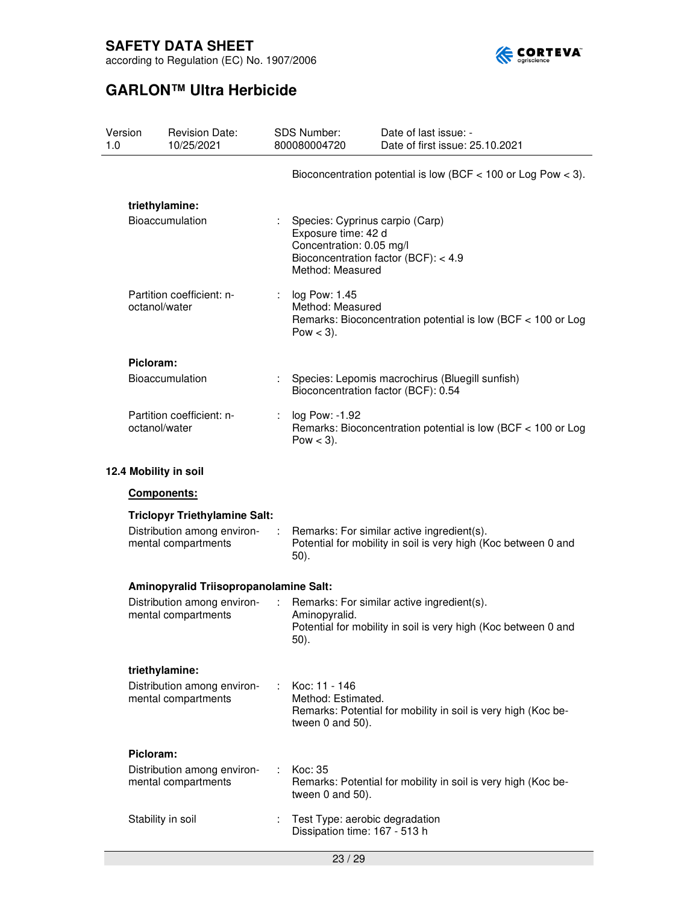

according to Regulation (EC) No. 1907/2006

| Version<br>1.0 |                                                    | <b>Revision Date:</b><br>10/25/2021                |                                                  | <b>SDS Number:</b><br>800080004720                                                                                   | Date of last issue: -<br>Date of first issue: 25.10.2021                                                     |  |
|----------------|----------------------------------------------------|----------------------------------------------------|--------------------------------------------------|----------------------------------------------------------------------------------------------------------------------|--------------------------------------------------------------------------------------------------------------|--|
|                |                                                    |                                                    |                                                  |                                                                                                                      | Bioconcentration potential is low (BCF $<$ 100 or Log Pow $<$ 3).                                            |  |
|                | triethylamine:                                     |                                                    |                                                  |                                                                                                                      |                                                                                                              |  |
|                | <b>Bioaccumulation</b>                             |                                                    |                                                  | Species: Cyprinus carpio (Carp)<br>Exposure time: 42 d<br>Concentration: 0.05 mg/l<br>Method: Measured               | Bioconcentration factor (BCF): < 4.9                                                                         |  |
|                | octanol/water                                      | Partition coefficient: n-                          | log Pow: 1.45<br>Method: Measured<br>Pow $<$ 3). |                                                                                                                      | Remarks: Bioconcentration potential is low (BCF < 100 or Log                                                 |  |
|                | Picloram:                                          |                                                    |                                                  |                                                                                                                      |                                                                                                              |  |
|                |                                                    | <b>Bioaccumulation</b>                             |                                                  | Bioconcentration factor (BCF): 0.54                                                                                  | Species: Lepomis macrochirus (Bluegill sunfish)                                                              |  |
|                | Partition coefficient: n-<br>octanol/water         |                                                    | ÷.                                               | log Pow: -1.92<br>Remarks: Bioconcentration potential is low (BCF < 100 or Log<br>Pow $<$ 3).                        |                                                                                                              |  |
|                |                                                    | 12.4 Mobility in soil                              |                                                  |                                                                                                                      |                                                                                                              |  |
|                | Components:                                        |                                                    |                                                  |                                                                                                                      |                                                                                                              |  |
|                |                                                    | <b>Triclopyr Triethylamine Salt:</b>               |                                                  |                                                                                                                      |                                                                                                              |  |
|                | Distribution among environ-<br>mental compartments |                                                    |                                                  | Remarks: For similar active ingredient(s).<br>Potential for mobility in soil is very high (Koc between 0 and<br>50). |                                                                                                              |  |
|                |                                                    | Aminopyralid Triisopropanolamine Salt:             |                                                  |                                                                                                                      |                                                                                                              |  |
|                |                                                    | Distribution among environ-<br>mental compartments | ÷                                                | Aminopyralid.<br>50).                                                                                                | Remarks: For similar active ingredient(s).<br>Potential for mobility in soil is very high (Koc between 0 and |  |
|                | triethylamine:                                     | Distribution among environ-<br>mental compartments | ÷.                                               | Koc: 11 - 146<br>Method: Estimated.<br>tween 0 and 50).                                                              | Remarks: Potential for mobility in soil is very high (Koc be-                                                |  |
|                | Picloram:                                          | Distribution among environ-<br>mental compartments | ÷.                                               | Koc: 35<br>tween 0 and 50).                                                                                          | Remarks: Potential for mobility in soil is very high (Koc be-                                                |  |
|                | Stability in soil                                  |                                                    |                                                  | Test Type: aerobic degradation<br>Dissipation time: 167 - 513 h                                                      |                                                                                                              |  |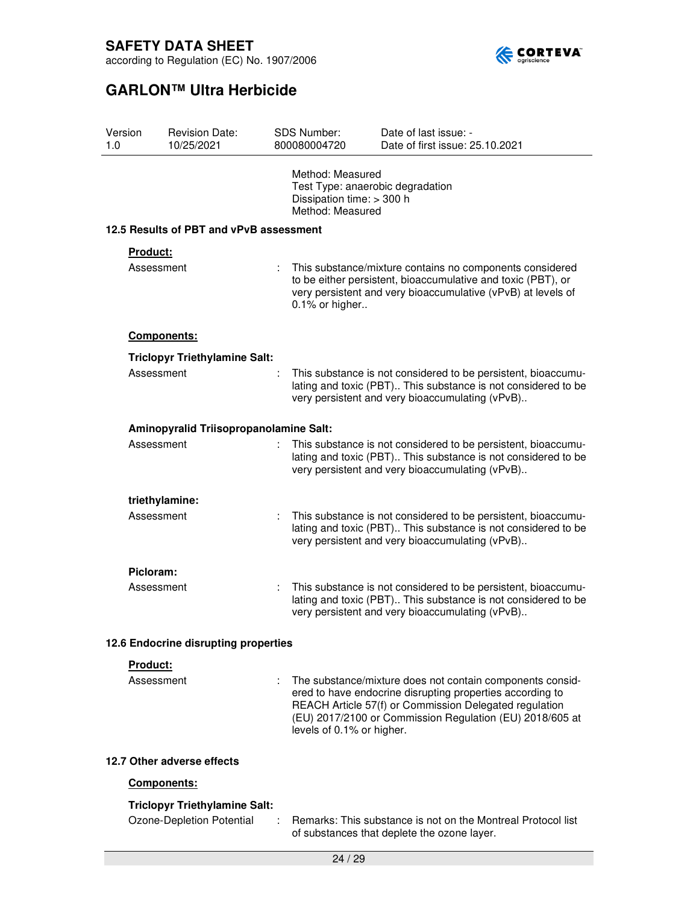

| Version<br>1.0 | <b>Revision Date:</b><br>10/25/2021     | <b>SDS Number:</b><br>800080004720                                | Date of last issue: -<br>Date of first issue: 25.10.2021                                                                                                                                                                                     |  |  |
|----------------|-----------------------------------------|-------------------------------------------------------------------|----------------------------------------------------------------------------------------------------------------------------------------------------------------------------------------------------------------------------------------------|--|--|
|                |                                         | Method: Measured<br>Dissipation time: > 300 h<br>Method: Measured | Test Type: anaerobic degradation                                                                                                                                                                                                             |  |  |
|                | 12.5 Results of PBT and vPvB assessment |                                                                   |                                                                                                                                                                                                                                              |  |  |
|                | Product:                                |                                                                   |                                                                                                                                                                                                                                              |  |  |
|                | Assessment                              | ÷.                                                                | This substance/mixture contains no components considered<br>to be either persistent, bioaccumulative and toxic (PBT), or<br>very persistent and very bioaccumulative (vPvB) at levels of<br>0.1% or higher                                   |  |  |
|                | Components:                             |                                                                   |                                                                                                                                                                                                                                              |  |  |
|                | <b>Triclopyr Triethylamine Salt:</b>    |                                                                   |                                                                                                                                                                                                                                              |  |  |
|                | Assessment                              |                                                                   | This substance is not considered to be persistent, bioaccumu-<br>lating and toxic (PBT) This substance is not considered to be<br>very persistent and very bioaccumulating (vPvB)                                                            |  |  |
|                | Aminopyralid Triisopropanolamine Salt:  |                                                                   |                                                                                                                                                                                                                                              |  |  |
|                | Assessment                              |                                                                   | This substance is not considered to be persistent, bioaccumu-<br>lating and toxic (PBT) This substance is not considered to be<br>very persistent and very bioaccumulating (vPvB)                                                            |  |  |
|                | triethylamine:                          |                                                                   |                                                                                                                                                                                                                                              |  |  |
|                | Assessment                              | ÷                                                                 | This substance is not considered to be persistent, bioaccumu-<br>lating and toxic (PBT) This substance is not considered to be<br>very persistent and very bioaccumulating (vPvB)                                                            |  |  |
|                | Picloram:                               |                                                                   |                                                                                                                                                                                                                                              |  |  |
|                | Assessment                              |                                                                   | This substance is not considered to be persistent, bioaccumu-<br>lating and toxic (PBT) This substance is not considered to be<br>very persistent and very bioaccumulating (vPvB)                                                            |  |  |
|                | 12.6 Endocrine disrupting properties    |                                                                   |                                                                                                                                                                                                                                              |  |  |
|                | Product:                                |                                                                   |                                                                                                                                                                                                                                              |  |  |
|                | Assessment                              | levels of 0.1% or higher.                                         | The substance/mixture does not contain components consid-<br>ered to have endocrine disrupting properties according to<br>REACH Article 57(f) or Commission Delegated regulation<br>(EU) 2017/2100 or Commission Regulation (EU) 2018/605 at |  |  |
|                | 12.7 Other adverse effects              |                                                                   |                                                                                                                                                                                                                                              |  |  |
|                | Components:                             |                                                                   |                                                                                                                                                                                                                                              |  |  |
|                | <b>Triclopyr Triethylamine Salt:</b>    |                                                                   |                                                                                                                                                                                                                                              |  |  |
|                | Ozone-Depletion Potential               |                                                                   | Remarks: This substance is not on the Montreal Protocol list<br>of substances that deplete the ozone layer.                                                                                                                                  |  |  |
|                |                                         | 24/29                                                             |                                                                                                                                                                                                                                              |  |  |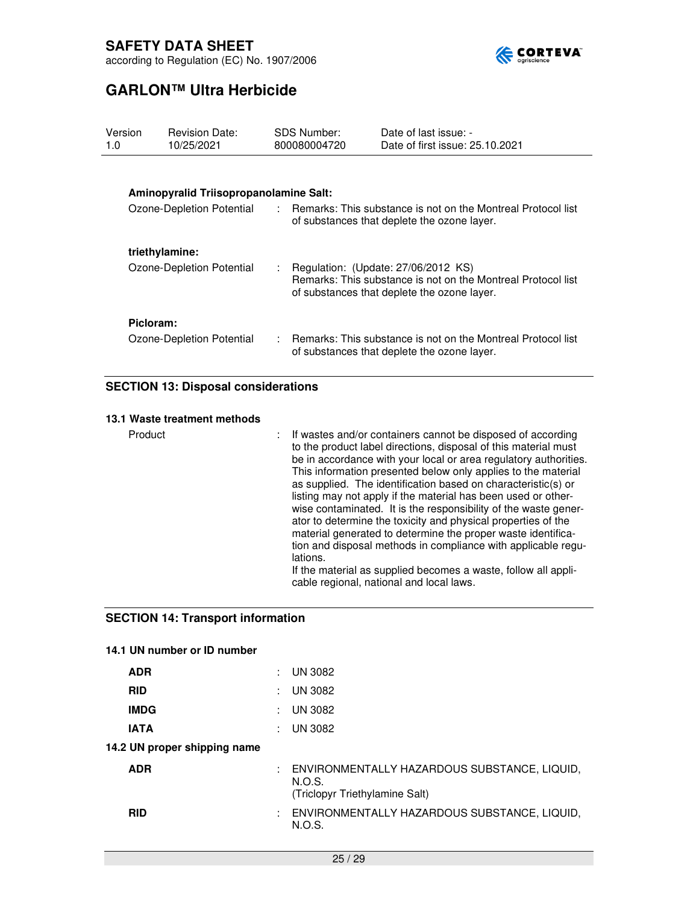

# **GARLON™ Ultra Herbicide**

| Version<br>1.0 | <b>Revision Date:</b><br>10/25/2021    |    | SDS Number:<br>800080004720 | Date of last issue: -<br>Date of first issue: 25.10.2021                                                                                           |
|----------------|----------------------------------------|----|-----------------------------|----------------------------------------------------------------------------------------------------------------------------------------------------|
|                |                                        |    |                             |                                                                                                                                                    |
|                | Aminopyralid Triisopropanolamine Salt: |    |                             |                                                                                                                                                    |
|                | Ozone-Depletion Potential              |    |                             | : Remarks: This substance is not on the Montreal Protocol list<br>of substances that deplete the ozone layer.                                      |
|                | triethylamine:                         |    |                             |                                                                                                                                                    |
|                | Ozone-Depletion Potential              | ÷. |                             | Regulation: (Update: 27/06/2012 KS)<br>Remarks: This substance is not on the Montreal Protocol list<br>of substances that deplete the ozone layer. |
| Picloram:      |                                        |    |                             |                                                                                                                                                    |
|                | Ozone-Depletion Potential              |    |                             | : Remarks: This substance is not on the Montreal Protocol list<br>of substances that deplete the ozone layer.                                      |

### **SECTION 13: Disposal considerations**

### **13.1 Waste treatment methods**

Product **interest in the State Containers** cannot be disposed of according to the product label directions, disposal of this material must be in accordance with your local or area regulatory authorities. This information presented below only applies to the material as supplied. The identification based on characteristic(s) or listing may not apply if the material has been used or otherwise contaminated. It is the responsibility of the waste generator to determine the toxicity and physical properties of the material generated to determine the proper waste identification and disposal methods in compliance with applicable regulations. If the material as supplied becomes a waste, follow all appli-

cable regional, national and local laws.

### **SECTION 14: Transport information**

### **14.1 UN number or ID number**

| <b>ADR</b>                   |   | <b>UN 3082</b>                                                                           |
|------------------------------|---|------------------------------------------------------------------------------------------|
| <b>RID</b>                   | ÷ | <b>UN 3082</b>                                                                           |
| <b>IMDG</b>                  | ÷ | <b>UN 3082</b>                                                                           |
| <b>IATA</b>                  |   | <b>UN 3082</b>                                                                           |
| 14.2 UN proper shipping name |   |                                                                                          |
| <b>ADR</b>                   |   | ENVIRONMENTALLY HAZARDOUS SUBSTANCE, LIQUID,<br>N.O.S.<br>(Triclopyr Triethylamine Salt) |
| <b>RID</b>                   | ÷ | ENVIRONMENTALLY HAZARDOUS SUBSTANCE, LIQUID,<br>N.O.S.                                   |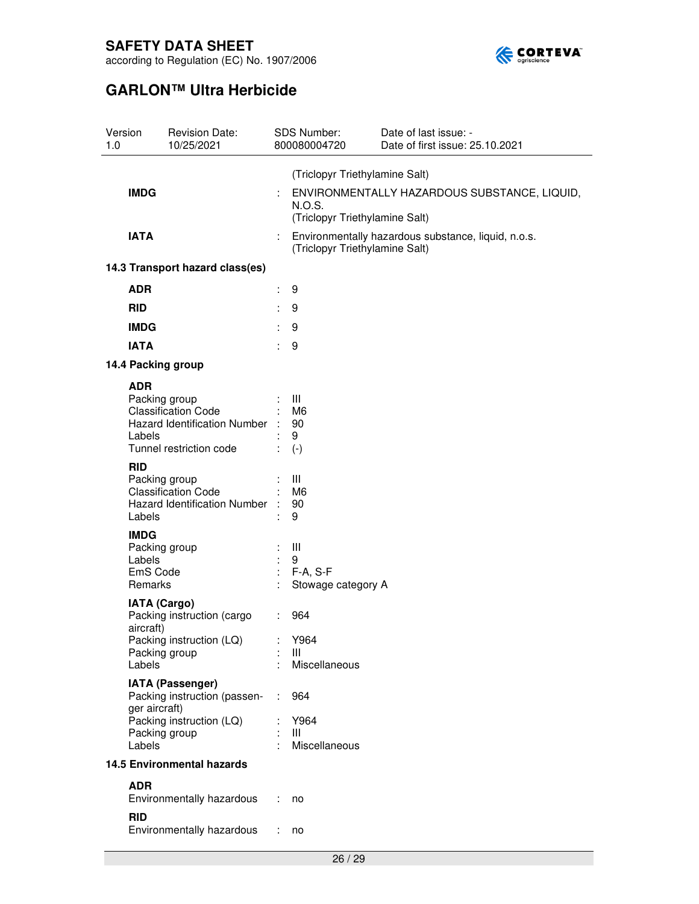

| Version<br>1.0                   | <b>Revision Date:</b><br>10/25/2021                                                                      |                             | SDS Number:<br>800080004720                               | Date of last issue: -<br>Date of first issue: 25.10.2021 |
|----------------------------------|----------------------------------------------------------------------------------------------------------|-----------------------------|-----------------------------------------------------------|----------------------------------------------------------|
|                                  |                                                                                                          |                             | (Triclopyr Triethylamine Salt)                            |                                                          |
| <b>IMDG</b>                      |                                                                                                          |                             | N.O.S.<br>(Triclopyr Triethylamine Salt)                  | ENVIRONMENTALLY HAZARDOUS SUBSTANCE, LIQUID,             |
| <b>IATA</b>                      |                                                                                                          |                             | (Triclopyr Triethylamine Salt)                            | Environmentally hazardous substance, liquid, n.o.s.      |
|                                  | 14.3 Transport hazard class(es)                                                                          |                             |                                                           |                                                          |
| <b>ADR</b>                       |                                                                                                          | t.                          | 9                                                         |                                                          |
| <b>RID</b>                       |                                                                                                          |                             | 9                                                         |                                                          |
| <b>IMDG</b>                      |                                                                                                          |                             | 9                                                         |                                                          |
| <b>IATA</b>                      |                                                                                                          | ÷.                          | 9                                                         |                                                          |
|                                  | 14.4 Packing group                                                                                       |                             |                                                           |                                                          |
| <b>ADR</b><br>Labels             | Packing group<br><b>Classification Code</b><br>Hazard Identification Number :<br>Tunnel restriction code |                             | $\therefore$ $\Box$<br>M <sub>6</sub><br>90<br>9<br>$(-)$ |                                                          |
| <b>RID</b><br>Labels             | Packing group<br><b>Classification Code</b><br>Hazard Identification Number :                            |                             | Ш<br>M <sub>6</sub><br>90<br>9                            |                                                          |
| <b>IMDG</b><br>Labels<br>Remarks | Packing group<br>EmS Code                                                                                | $\mathcal{L}^{\mathcal{L}}$ | $\mathbf{III}$<br>9<br>$F-A, S-F$<br>Stowage category A   |                                                          |
| aircraft)<br>Labels              | <b>IATA (Cargo)</b><br>Packing instruction (cargo<br>Packing instruction (LQ) : Y964<br>Packing group    |                             | $\therefore$ 964<br>Ш<br>Miscellaneous                    |                                                          |
|                                  | IATA (Passenger)<br>Packing instruction (passen-<br>ger aircraft)                                        | ÷                           | 964                                                       |                                                          |
| Labels                           | Packing instruction (LQ)<br>Packing group                                                                |                             | Y964<br>Ш<br>Miscellaneous                                |                                                          |
|                                  | <b>14.5 Environmental hazards</b>                                                                        |                             |                                                           |                                                          |
| <b>ADR</b>                       | Environmentally hazardous                                                                                | ÷                           | no                                                        |                                                          |
| <b>RID</b>                       | Environmentally hazardous                                                                                | ÷                           | no                                                        |                                                          |
|                                  |                                                                                                          |                             | 26/29                                                     |                                                          |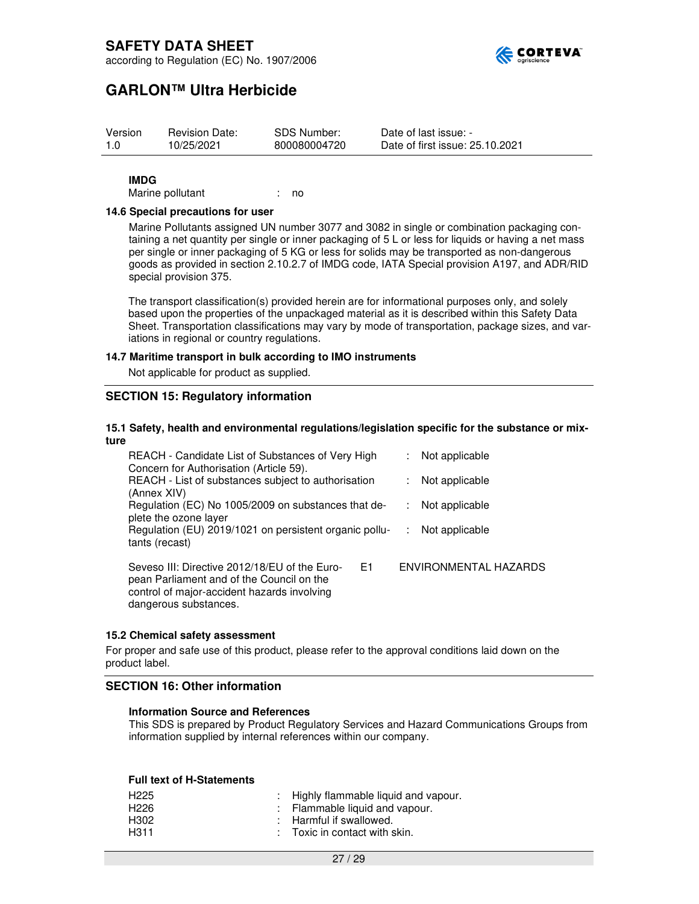

### **GARLON™ Ultra Herbicide**

| Version | <b>Revision Date:</b> | SDS Number:  | Date of last issue: -           |
|---------|-----------------------|--------------|---------------------------------|
| 1.0     | 10/25/2021            | 800080004720 | Date of first issue: 25.10.2021 |

#### **IMDG**

Marine pollutant : no

#### **14.6 Special precautions for user**

Marine Pollutants assigned UN number 3077 and 3082 in single or combination packaging containing a net quantity per single or inner packaging of 5 L or less for liquids or having a net mass per single or inner packaging of 5 KG or less for solids may be transported as non-dangerous goods as provided in section 2.10.2.7 of IMDG code, IATA Special provision A197, and ADR/RID special provision 375.

The transport classification(s) provided herein are for informational purposes only, and solely based upon the properties of the unpackaged material as it is described within this Safety Data Sheet. Transportation classifications may vary by mode of transportation, package sizes, and variations in regional or country regulations.

#### **14.7 Maritime transport in bulk according to IMO instruments**

Not applicable for product as supplied.

### **SECTION 15: Regulatory information**

#### **15.1 Safety, health and environmental regulations/legislation specific for the substance or mixture**

| REACH - Candidate List of Substances of Very High<br>Concern for Authorisation (Article 59).                                                                             | Not applicable        |
|--------------------------------------------------------------------------------------------------------------------------------------------------------------------------|-----------------------|
| REACH - List of substances subject to authorisation<br>(Annex XIV)                                                                                                       | Not applicable<br>÷   |
| Regulation (EC) No 1005/2009 on substances that de-<br>plete the ozone layer                                                                                             | Not applicable        |
| Regulation (EU) 2019/1021 on persistent organic pollu-<br>tants (recast)                                                                                                 | Not applicable        |
| E1<br>Seveso III: Directive 2012/18/EU of the Euro-<br>pean Parliament and of the Council on the<br>control of major-accident hazards involving<br>dangerous substances. | ENVIRONMENTAL HAZARDS |

#### **15.2 Chemical safety assessment**

For proper and safe use of this product, please refer to the approval conditions laid down on the product label.

### **SECTION 16: Other information**

#### **Information Source and References**

This SDS is prepared by Product Regulatory Services and Hazard Communications Groups from information supplied by internal references within our company.

#### **Full text of H-Statements**

| H225             | : Highly flammable liquid and vapour.    |
|------------------|------------------------------------------|
| H <sub>226</sub> | : Flammable liquid and vapour.           |
| H302             | : Harmful if swallowed.                  |
| H311             | $\therefore$ Toxic in contact with skin. |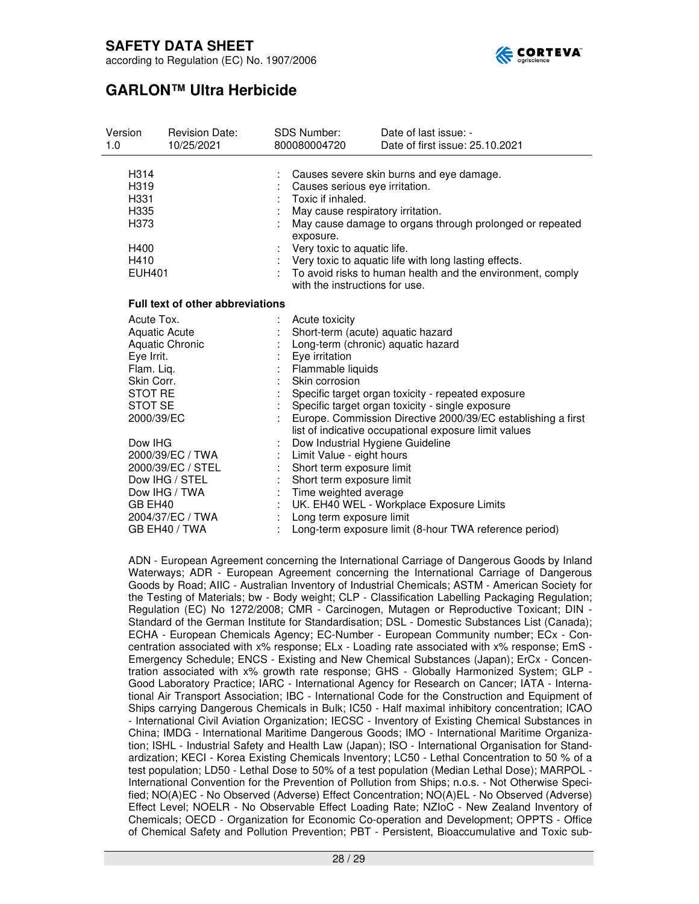

according to Regulation (EC) No. 1907/2006

# **GARLON™ Ultra Herbicide**

| Version<br>1.0                                                                                                                                                                                                                                                                    | <b>Revision Date:</b><br>10/25/2021     | <b>SDS Number:</b><br>800080004720                                                                                                                                                                                                                                                                                                                                                                    | Date of last issue: -<br>Date of first issue: 25.10.2021                                                                                                                                                                                                                                                                                                                                                                                             |
|-----------------------------------------------------------------------------------------------------------------------------------------------------------------------------------------------------------------------------------------------------------------------------------|-----------------------------------------|-------------------------------------------------------------------------------------------------------------------------------------------------------------------------------------------------------------------------------------------------------------------------------------------------------------------------------------------------------------------------------------------------------|------------------------------------------------------------------------------------------------------------------------------------------------------------------------------------------------------------------------------------------------------------------------------------------------------------------------------------------------------------------------------------------------------------------------------------------------------|
| H <sub>3</sub> 14<br>H319<br>H331<br>H335<br>H373<br>H400<br>H410<br><b>EUH401</b>                                                                                                                                                                                                |                                         | Causes severe skin burns and eye damage.<br>Causes serious eye irritation.<br>Toxic if inhaled.<br>May cause respiratory irritation.<br>May cause damage to organs through prolonged or repeated<br>exposure.<br>Very toxic to aquatic life.<br>Very toxic to aquatic life with long lasting effects.<br>To avoid risks to human health and the environment, comply<br>with the instructions for use. |                                                                                                                                                                                                                                                                                                                                                                                                                                                      |
|                                                                                                                                                                                                                                                                                   | <b>Full text of other abbreviations</b> |                                                                                                                                                                                                                                                                                                                                                                                                       |                                                                                                                                                                                                                                                                                                                                                                                                                                                      |
| Acute Tox.<br><b>Aquatic Acute</b><br><b>Aquatic Chronic</b><br>Eye Irrit.<br>Flam. Liq.<br>Skin Corr.<br>STOT RE<br>STOT SE<br>2000/39/EC<br>Dow IHG<br>2000/39/EC / TWA<br>2000/39/EC / STEL<br>Dow IHG / STEL<br>Dow IHG / TWA<br>GB EH40<br>2004/37/EC / TWA<br>GB EH40 / TWA |                                         | Acute toxicity<br>Eye irritation<br>Flammable liquids<br>Skin corrosion<br>Limit Value - eight hours<br>Short term exposure limit<br>Short term exposure limit<br>Time weighted average<br>Long term exposure limit                                                                                                                                                                                   | Short-term (acute) aquatic hazard<br>Long-term (chronic) aquatic hazard<br>Specific target organ toxicity - repeated exposure<br>Specific target organ toxicity - single exposure<br>Europe. Commission Directive 2000/39/EC establishing a first<br>list of indicative occupational exposure limit values<br>Dow Industrial Hygiene Guideline<br>UK. EH40 WEL - Workplace Exposure Limits<br>Long-term exposure limit (8-hour TWA reference period) |

ADN - European Agreement concerning the International Carriage of Dangerous Goods by Inland Waterways; ADR - European Agreement concerning the International Carriage of Dangerous Goods by Road; AIIC - Australian Inventory of Industrial Chemicals; ASTM - American Society for the Testing of Materials; bw - Body weight; CLP - Classification Labelling Packaging Regulation; Regulation (EC) No 1272/2008; CMR - Carcinogen, Mutagen or Reproductive Toxicant; DIN - Standard of the German Institute for Standardisation; DSL - Domestic Substances List (Canada); ECHA - European Chemicals Agency; EC-Number - European Community number; ECx - Concentration associated with x% response; ELx - Loading rate associated with x% response; EmS - Emergency Schedule; ENCS - Existing and New Chemical Substances (Japan); ErCx - Concentration associated with x% growth rate response; GHS - Globally Harmonized System; GLP - Good Laboratory Practice; IARC - International Agency for Research on Cancer; IATA - International Air Transport Association; IBC - International Code for the Construction and Equipment of Ships carrying Dangerous Chemicals in Bulk; IC50 - Half maximal inhibitory concentration; ICAO - International Civil Aviation Organization; IECSC - Inventory of Existing Chemical Substances in China; IMDG - International Maritime Dangerous Goods; IMO - International Maritime Organization; ISHL - Industrial Safety and Health Law (Japan); ISO - International Organisation for Standardization; KECI - Korea Existing Chemicals Inventory; LC50 - Lethal Concentration to 50 % of a test population; LD50 - Lethal Dose to 50% of a test population (Median Lethal Dose); MARPOL - International Convention for the Prevention of Pollution from Ships; n.o.s. - Not Otherwise Specified; NO(A)EC - No Observed (Adverse) Effect Concentration; NO(A)EL - No Observed (Adverse) Effect Level; NOELR - No Observable Effect Loading Rate; NZIoC - New Zealand Inventory of Chemicals; OECD - Organization for Economic Co-operation and Development; OPPTS - Office of Chemical Safety and Pollution Prevention; PBT - Persistent, Bioaccumulative and Toxic sub-